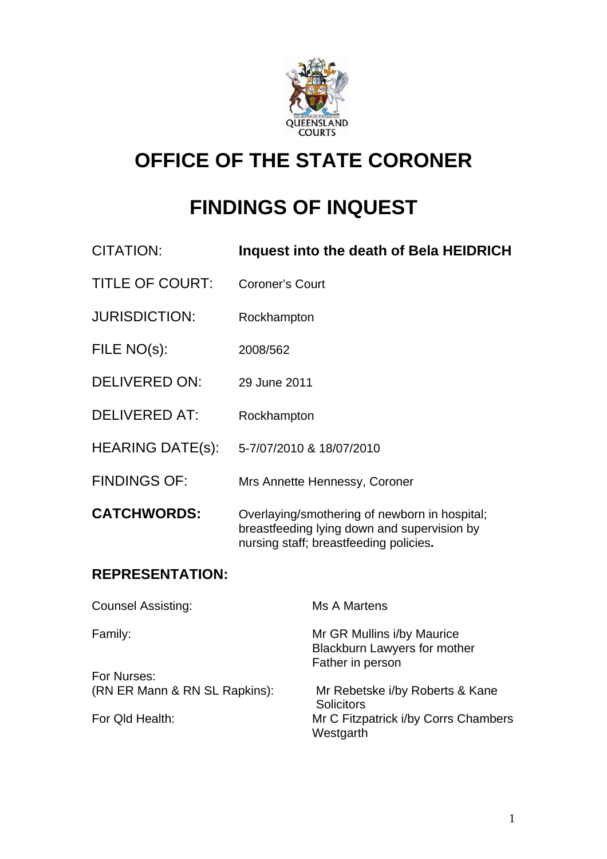

# **OFFICE OF THE STATE CORONER**

# **FINDINGS OF INQUEST**

| CITATION:               | Inquest into the death of Bela HEIDRICH                                                                                                |
|-------------------------|----------------------------------------------------------------------------------------------------------------------------------------|
| <b>TITLE OF COURT:</b>  | Coroner's Court                                                                                                                        |
| <b>JURISDICTION:</b>    | Rockhampton                                                                                                                            |
| FILE NO(s):             | 2008/562                                                                                                                               |
| <b>DELIVERED ON:</b>    | 29 June 2011                                                                                                                           |
| <b>DELIVERED AT:</b>    | Rockhampton                                                                                                                            |
| <b>HEARING DATE(s):</b> | 5-7/07/2010 & 18/07/2010                                                                                                               |
| <b>FINDINGS OF:</b>     | Mrs Annette Hennessy, Coroner                                                                                                          |
| <b>CATCHWORDS:</b>      | Overlaying/smothering of newborn in hospital;<br>breastfeeding lying down and supervision by<br>nursing staff; breastfeeding policies. |

# **REPRESENTATION:**

| Ms A Martens                                                                          |
|---------------------------------------------------------------------------------------|
| Mr GR Mullins i/by Maurice<br><b>Blackburn Lawyers for mother</b><br>Father in person |
|                                                                                       |
| Mr Rebetske i/by Roberts & Kane<br><b>Solicitors</b>                                  |
| Mr C Fitzpatrick i/by Corrs Chambers<br>Westgarth                                     |
|                                                                                       |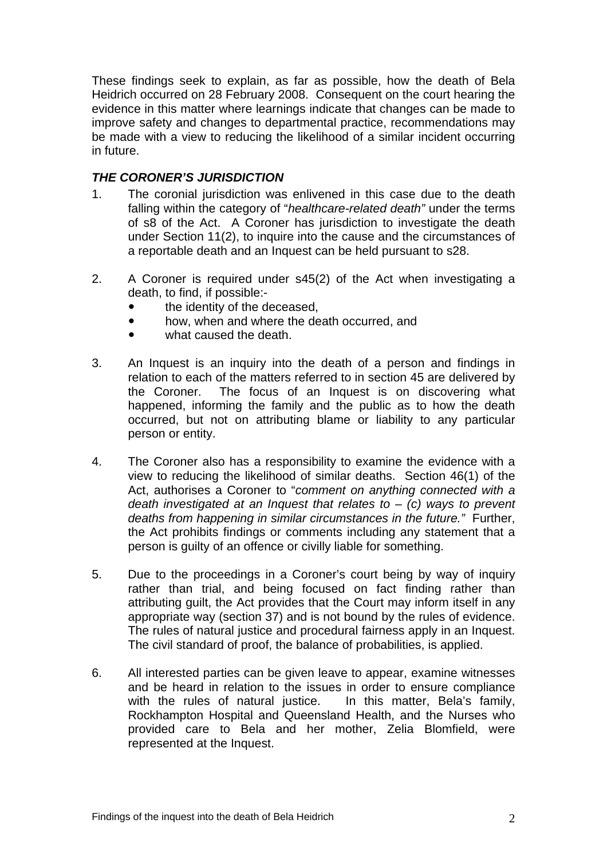These findings seek to explain, as far as possible, how the death of Bela Heidrich occurred on 28 February 2008. Consequent on the court hearing the evidence in this matter where learnings indicate that changes can be made to improve safety and changes to departmental practice, recommendations may be made with a view to reducing the likelihood of a similar incident occurring in future.

### *THE CORONER'S JURISDICTION*

- 1. The coronial jurisdiction was enlivened in this case due to the death falling within the category of "*healthcare-related death"* under the terms of s8 of the Act. A Coroner has jurisdiction to investigate the death under Section 11(2), to inquire into the cause and the circumstances of a reportable death and an Inquest can be held pursuant to s28.
- 2. A Coroner is required under s45(2) of the Act when investigating a death, to find, if possible:
	- the identity of the deceased,
	- how, when and where the death occurred, and
	- what caused the death.
- 3. An Inquest is an inquiry into the death of a person and findings in relation to each of the matters referred to in section 45 are delivered by the Coroner. The focus of an Inquest is on discovering what happened, informing the family and the public as to how the death occurred, but not on attributing blame or liability to any particular person or entity.
- 4. The Coroner also has a responsibility to examine the evidence with a view to reducing the likelihood of similar deaths. Section 46(1) of the Act, authorises a Coroner to "*comment on anything connected with a death investigated at an Inquest that relates to* – *(c) ways to prevent deaths from happening in similar circumstances in the future."* Further, the Act prohibits findings or comments including any statement that a person is guilty of an offence or civilly liable for something.
- 5. Due to the proceedings in a Coroner's court being by way of inquiry rather than trial, and being focused on fact finding rather than attributing guilt, the Act provides that the Court may inform itself in any appropriate way (section 37) and is not bound by the rules of evidence. The rules of natural justice and procedural fairness apply in an Inquest. The civil standard of proof, the balance of probabilities, is applied.
- 6. All interested parties can be given leave to appear, examine witnesses and be heard in relation to the issues in order to ensure compliance with the rules of natural justice. In this matter, Bela's family, Rockhampton Hospital and Queensland Health, and the Nurses who provided care to Bela and her mother, Zelia Blomfield, were represented at the Inquest.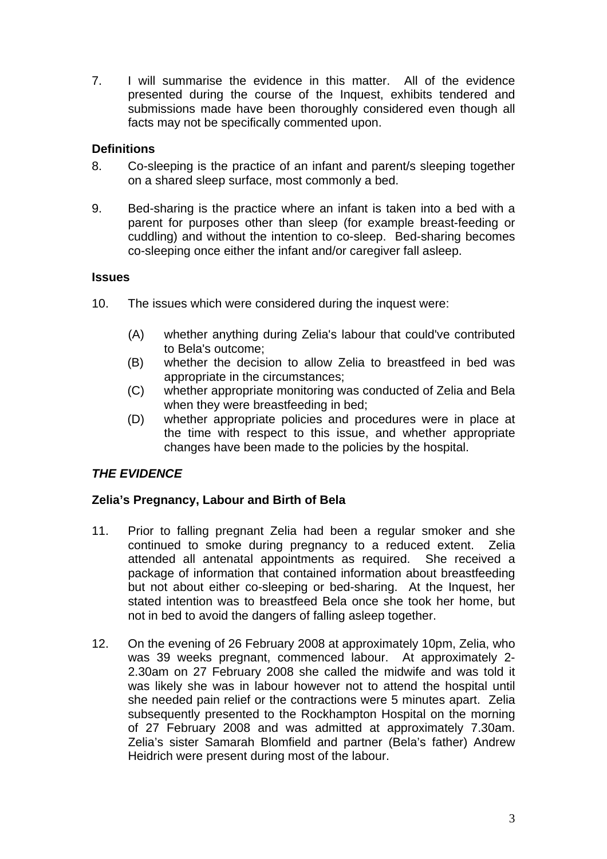7. I will summarise the evidence in this matter. All of the evidence presented during the course of the Inquest, exhibits tendered and submissions made have been thoroughly considered even though all facts may not be specifically commented upon.

## **Definitions**

- 8. Co-sleeping is the practice of an infant and parent/s sleeping together on a shared sleep surface, most commonly a bed.
- 9. Bed-sharing is the practice where an infant is taken into a bed with a parent for purposes other than sleep (for example breast-feeding or cuddling) and without the intention to co-sleep. Bed-sharing becomes co-sleeping once either the infant and/or caregiver fall asleep.

#### **Issues**

- 10. The issues which were considered during the inquest were:
	- (A) whether anything during Zelia's labour that could've contributed to Bela's outcome;
	- (B) whether the decision to allow Zelia to breastfeed in bed was appropriate in the circumstances;
	- (C) whether appropriate monitoring was conducted of Zelia and Bela when they were breastfeeding in bed;
	- (D) whether appropriate policies and procedures were in place at the time with respect to this issue, and whether appropriate changes have been made to the policies by the hospital.

# *THE EVIDENCE*

#### **Zelia's Pregnancy, Labour and Birth of Bela**

- 11. Prior to falling pregnant Zelia had been a regular smoker and she continued to smoke during pregnancy to a reduced extent. Zelia attended all antenatal appointments as required. She received a package of information that contained information about breastfeeding but not about either co-sleeping or bed-sharing. At the Inquest, her stated intention was to breastfeed Bela once she took her home, but not in bed to avoid the dangers of falling asleep together.
- 12. On the evening of 26 February 2008 at approximately 10pm, Zelia, who was 39 weeks pregnant, commenced labour. At approximately 2- 2.30am on 27 February 2008 she called the midwife and was told it was likely she was in labour however not to attend the hospital until she needed pain relief or the contractions were 5 minutes apart. Zelia subsequently presented to the Rockhampton Hospital on the morning of 27 February 2008 and was admitted at approximately 7.30am. Zelia's sister Samarah Blomfield and partner (Bela's father) Andrew Heidrich were present during most of the labour.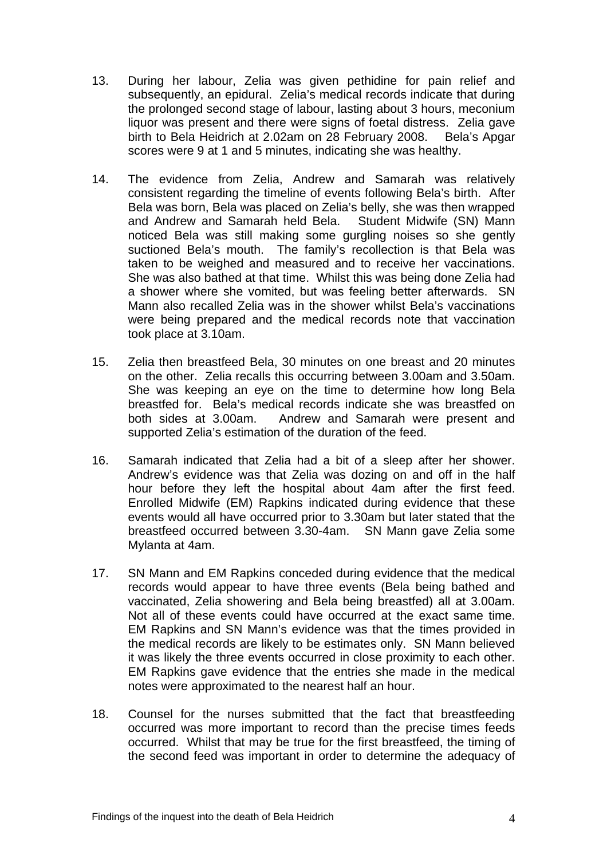- 13. During her labour, Zelia was given pethidine for pain relief and subsequently, an epidural. Zelia's medical records indicate that during the prolonged second stage of labour, lasting about 3 hours, meconium liquor was present and there were signs of foetal distress. Zelia gave birth to Bela Heidrich at 2.02am on 28 February 2008. Bela's Apgar scores were 9 at 1 and 5 minutes, indicating she was healthy.
- 14. The evidence from Zelia, Andrew and Samarah was relatively consistent regarding the timeline of events following Bela's birth. After Bela was born, Bela was placed on Zelia's belly, she was then wrapped and Andrew and Samarah held Bela. Student Midwife (SN) Mann noticed Bela was still making some gurgling noises so she gently suctioned Bela's mouth. The family's recollection is that Bela was taken to be weighed and measured and to receive her vaccinations. She was also bathed at that time. Whilst this was being done Zelia had a shower where she vomited, but was feeling better afterwards. SN Mann also recalled Zelia was in the shower whilst Bela's vaccinations were being prepared and the medical records note that vaccination took place at 3.10am.
- 15. Zelia then breastfeed Bela, 30 minutes on one breast and 20 minutes on the other. Zelia recalls this occurring between 3.00am and 3.50am. She was keeping an eye on the time to determine how long Bela breastfed for. Bela's medical records indicate she was breastfed on both sides at 3.00am. Andrew and Samarah were present and supported Zelia's estimation of the duration of the feed.
- 16. Samarah indicated that Zelia had a bit of a sleep after her shower. Andrew's evidence was that Zelia was dozing on and off in the half hour before they left the hospital about 4am after the first feed. Enrolled Midwife (EM) Rapkins indicated during evidence that these events would all have occurred prior to 3.30am but later stated that the breastfeed occurred between 3.30-4am. SN Mann gave Zelia some Mylanta at 4am.
- 17. SN Mann and EM Rapkins conceded during evidence that the medical records would appear to have three events (Bela being bathed and vaccinated, Zelia showering and Bela being breastfed) all at 3.00am. Not all of these events could have occurred at the exact same time. EM Rapkins and SN Mann's evidence was that the times provided in the medical records are likely to be estimates only. SN Mann believed it was likely the three events occurred in close proximity to each other. EM Rapkins gave evidence that the entries she made in the medical notes were approximated to the nearest half an hour.
- 18. Counsel for the nurses submitted that the fact that breastfeeding occurred was more important to record than the precise times feeds occurred. Whilst that may be true for the first breastfeed, the timing of the second feed was important in order to determine the adequacy of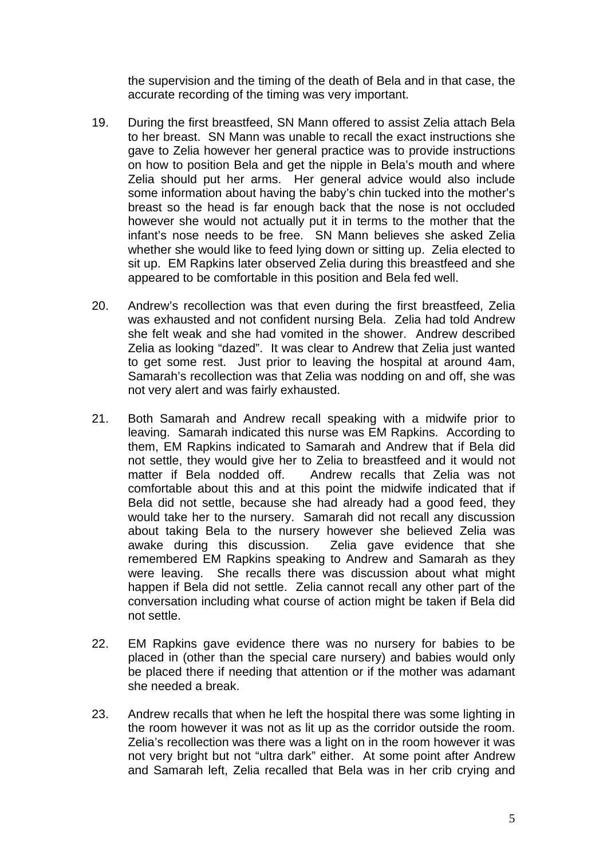the supervision and the timing of the death of Bela and in that case, the accurate recording of the timing was very important.

- 19. During the first breastfeed, SN Mann offered to assist Zelia attach Bela to her breast. SN Mann was unable to recall the exact instructions she gave to Zelia however her general practice was to provide instructions on how to position Bela and get the nipple in Bela's mouth and where Zelia should put her arms. Her general advice would also include some information about having the baby's chin tucked into the mother's breast so the head is far enough back that the nose is not occluded however she would not actually put it in terms to the mother that the infant's nose needs to be free. SN Mann believes she asked Zelia whether she would like to feed lying down or sitting up. Zelia elected to sit up. EM Rapkins later observed Zelia during this breastfeed and she appeared to be comfortable in this position and Bela fed well.
- 20. Andrew's recollection was that even during the first breastfeed, Zelia was exhausted and not confident nursing Bela. Zelia had told Andrew she felt weak and she had vomited in the shower. Andrew described Zelia as looking "dazed". It was clear to Andrew that Zelia just wanted to get some rest. Just prior to leaving the hospital at around 4am, Samarah's recollection was that Zelia was nodding on and off, she was not very alert and was fairly exhausted.
- 21. Both Samarah and Andrew recall speaking with a midwife prior to leaving. Samarah indicated this nurse was EM Rapkins. According to them, EM Rapkins indicated to Samarah and Andrew that if Bela did not settle, they would give her to Zelia to breastfeed and it would not matter if Bela nodded off. Andrew recalls that Zelia was not comfortable about this and at this point the midwife indicated that if Bela did not settle, because she had already had a good feed, they would take her to the nursery. Samarah did not recall any discussion about taking Bela to the nursery however she believed Zelia was awake during this discussion. Zelia gave evidence that she remembered EM Rapkins speaking to Andrew and Samarah as they were leaving. She recalls there was discussion about what might happen if Bela did not settle. Zelia cannot recall any other part of the conversation including what course of action might be taken if Bela did not settle.
- 22. EM Rapkins gave evidence there was no nursery for babies to be placed in (other than the special care nursery) and babies would only be placed there if needing that attention or if the mother was adamant she needed a break.
- 23. Andrew recalls that when he left the hospital there was some lighting in the room however it was not as lit up as the corridor outside the room. Zelia's recollection was there was a light on in the room however it was not very bright but not "ultra dark" either. At some point after Andrew and Samarah left, Zelia recalled that Bela was in her crib crying and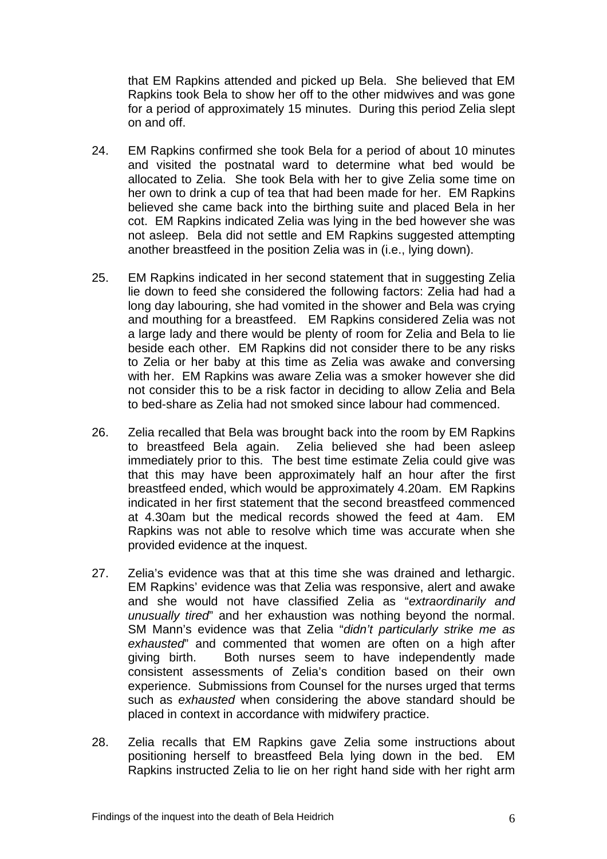that EM Rapkins attended and picked up Bela. She believed that EM Rapkins took Bela to show her off to the other midwives and was gone for a period of approximately 15 minutes. During this period Zelia slept on and off.

- 24. EM Rapkins confirmed she took Bela for a period of about 10 minutes and visited the postnatal ward to determine what bed would be allocated to Zelia. She took Bela with her to give Zelia some time on her own to drink a cup of tea that had been made for her. EM Rapkins believed she came back into the birthing suite and placed Bela in her cot. EM Rapkins indicated Zelia was lying in the bed however she was not asleep. Bela did not settle and EM Rapkins suggested attempting another breastfeed in the position Zelia was in (i.e., lying down).
- 25. EM Rapkins indicated in her second statement that in suggesting Zelia lie down to feed she considered the following factors: Zelia had had a long day labouring, she had vomited in the shower and Bela was crying and mouthing for a breastfeed. EM Rapkins considered Zelia was not a large lady and there would be plenty of room for Zelia and Bela to lie beside each other. EM Rapkins did not consider there to be any risks to Zelia or her baby at this time as Zelia was awake and conversing with her. EM Rapkins was aware Zelia was a smoker however she did not consider this to be a risk factor in deciding to allow Zelia and Bela to bed-share as Zelia had not smoked since labour had commenced.
- 26. Zelia recalled that Bela was brought back into the room by EM Rapkins to breastfeed Bela again. Zelia believed she had been asleep immediately prior to this. The best time estimate Zelia could give was that this may have been approximately half an hour after the first breastfeed ended, which would be approximately 4.20am. EM Rapkins indicated in her first statement that the second breastfeed commenced at 4.30am but the medical records showed the feed at 4am. EM Rapkins was not able to resolve which time was accurate when she provided evidence at the inquest.
- 27. Zelia's evidence was that at this time she was drained and lethargic. EM Rapkins' evidence was that Zelia was responsive, alert and awake and she would not have classified Zelia as "*extraordinarily and unusually tired*" and her exhaustion was nothing beyond the normal. SM Mann's evidence was that Zelia "*didn't particularly strike me as exhausted*" and commented that women are often on a high after giving birth. Both nurses seem to have independently made consistent assessments of Zelia's condition based on their own experience. Submissions from Counsel for the nurses urged that terms such as *exhausted* when considering the above standard should be placed in context in accordance with midwifery practice.
- 28. Zelia recalls that EM Rapkins gave Zelia some instructions about positioning herself to breastfeed Bela lying down in the bed. EM Rapkins instructed Zelia to lie on her right hand side with her right arm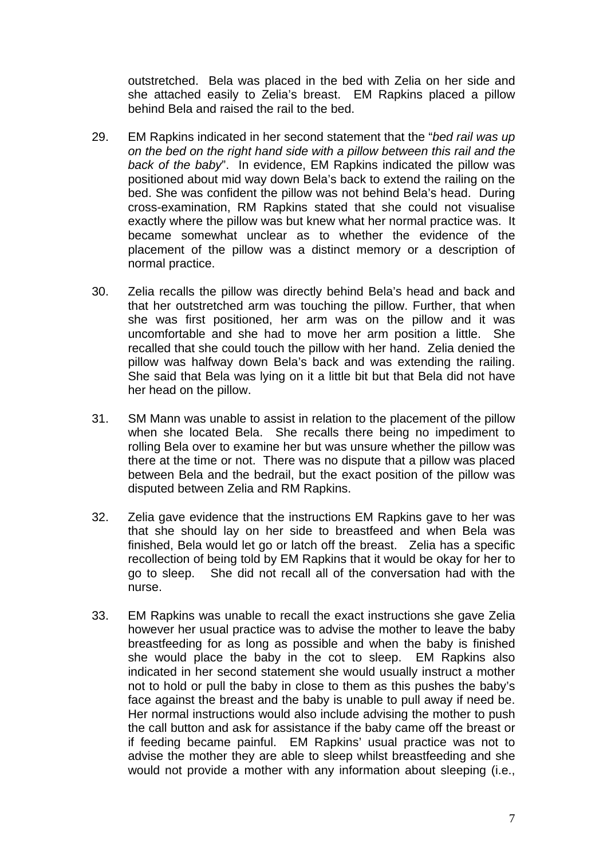outstretched. Bela was placed in the bed with Zelia on her side and she attached easily to Zelia's breast. EM Rapkins placed a pillow behind Bela and raised the rail to the bed.

- 29. EM Rapkins indicated in her second statement that the "*bed rail was up on the bed on the right hand side with a pillow between this rail and the back of the baby*". In evidence, EM Rapkins indicated the pillow was positioned about mid way down Bela's back to extend the railing on the bed. She was confident the pillow was not behind Bela's head. During cross-examination, RM Rapkins stated that she could not visualise exactly where the pillow was but knew what her normal practice was. It became somewhat unclear as to whether the evidence of the placement of the pillow was a distinct memory or a description of normal practice.
- 30. Zelia recalls the pillow was directly behind Bela's head and back and that her outstretched arm was touching the pillow. Further, that when she was first positioned, her arm was on the pillow and it was uncomfortable and she had to move her arm position a little. She recalled that she could touch the pillow with her hand. Zelia denied the pillow was halfway down Bela's back and was extending the railing. She said that Bela was lying on it a little bit but that Bela did not have her head on the pillow.
- 31. SM Mann was unable to assist in relation to the placement of the pillow when she located Bela. She recalls there being no impediment to rolling Bela over to examine her but was unsure whether the pillow was there at the time or not. There was no dispute that a pillow was placed between Bela and the bedrail, but the exact position of the pillow was disputed between Zelia and RM Rapkins.
- 32. Zelia gave evidence that the instructions EM Rapkins gave to her was that she should lay on her side to breastfeed and when Bela was finished, Bela would let go or latch off the breast. Zelia has a specific recollection of being told by EM Rapkins that it would be okay for her to go to sleep. She did not recall all of the conversation had with the nurse.
- 33. EM Rapkins was unable to recall the exact instructions she gave Zelia however her usual practice was to advise the mother to leave the baby breastfeeding for as long as possible and when the baby is finished she would place the baby in the cot to sleep. EM Rapkins also indicated in her second statement she would usually instruct a mother not to hold or pull the baby in close to them as this pushes the baby's face against the breast and the baby is unable to pull away if need be. Her normal instructions would also include advising the mother to push the call button and ask for assistance if the baby came off the breast or if feeding became painful. EM Rapkins' usual practice was not to advise the mother they are able to sleep whilst breastfeeding and she would not provide a mother with any information about sleeping (i.e.,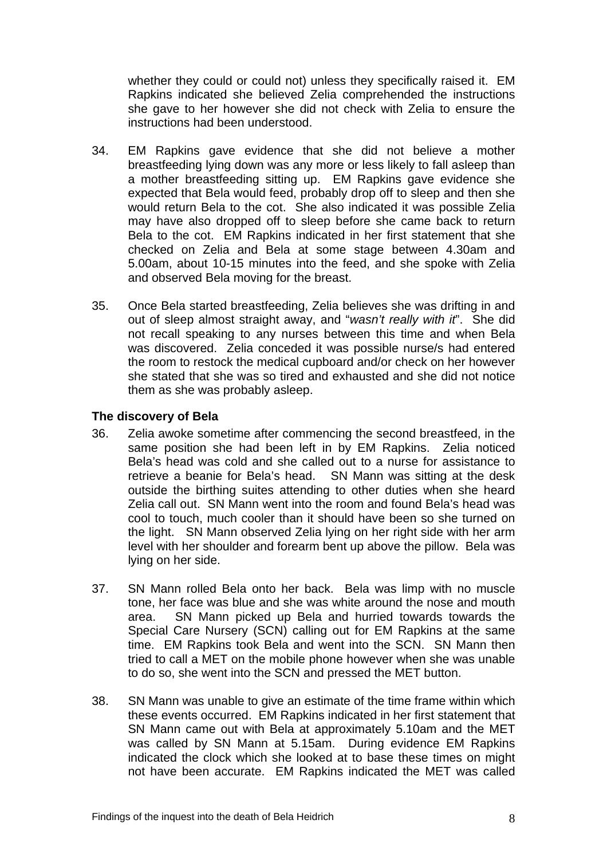whether they could or could not) unless they specifically raised it. EM Rapkins indicated she believed Zelia comprehended the instructions she gave to her however she did not check with Zelia to ensure the instructions had been understood.

- 34. EM Rapkins gave evidence that she did not believe a mother breastfeeding lying down was any more or less likely to fall asleep than a mother breastfeeding sitting up. EM Rapkins gave evidence she expected that Bela would feed, probably drop off to sleep and then she would return Bela to the cot. She also indicated it was possible Zelia may have also dropped off to sleep before she came back to return Bela to the cot. EM Rapkins indicated in her first statement that she checked on Zelia and Bela at some stage between 4.30am and 5.00am, about 10-15 minutes into the feed, and she spoke with Zelia and observed Bela moving for the breast.
- 35. Once Bela started breastfeeding, Zelia believes she was drifting in and out of sleep almost straight away, and "*wasn't really with it*". She did not recall speaking to any nurses between this time and when Bela was discovered. Zelia conceded it was possible nurse/s had entered the room to restock the medical cupboard and/or check on her however she stated that she was so tired and exhausted and she did not notice them as she was probably asleep.

#### **The discovery of Bela**

- 36. Zelia awoke sometime after commencing the second breastfeed, in the same position she had been left in by EM Rapkins. Zelia noticed Bela's head was cold and she called out to a nurse for assistance to retrieve a beanie for Bela's head. SN Mann was sitting at the desk outside the birthing suites attending to other duties when she heard Zelia call out. SN Mann went into the room and found Bela's head was cool to touch, much cooler than it should have been so she turned on the light. SN Mann observed Zelia lying on her right side with her arm level with her shoulder and forearm bent up above the pillow. Bela was lying on her side.
- 37. SN Mann rolled Bela onto her back. Bela was limp with no muscle tone, her face was blue and she was white around the nose and mouth area. SN Mann picked up Bela and hurried towards towards the Special Care Nursery (SCN) calling out for EM Rapkins at the same time. EM Rapkins took Bela and went into the SCN. SN Mann then tried to call a MET on the mobile phone however when she was unable to do so, she went into the SCN and pressed the MET button.
- 38. SN Mann was unable to give an estimate of the time frame within which these events occurred. EM Rapkins indicated in her first statement that SN Mann came out with Bela at approximately 5.10am and the MET was called by SN Mann at 5.15am. During evidence EM Rapkins indicated the clock which she looked at to base these times on might not have been accurate. EM Rapkins indicated the MET was called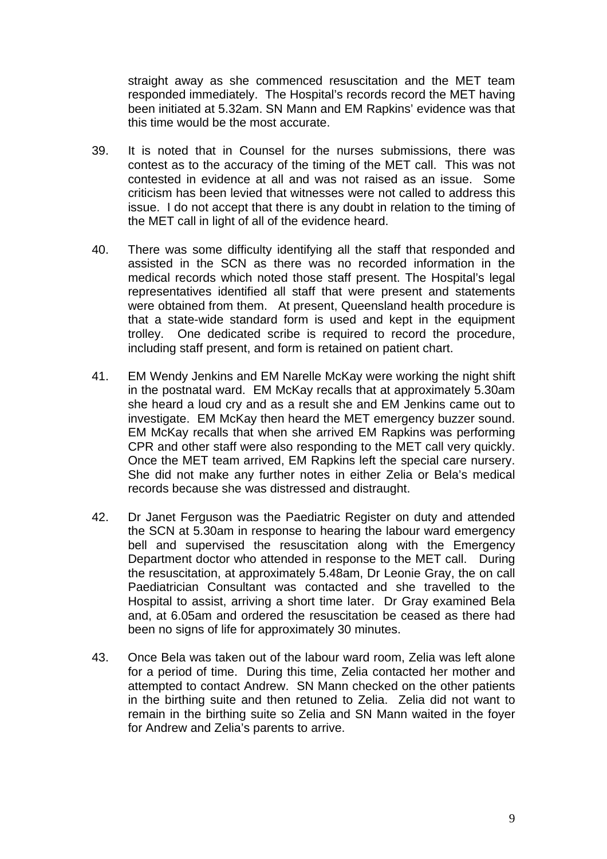straight away as she commenced resuscitation and the MET team responded immediately. The Hospital's records record the MET having been initiated at 5.32am. SN Mann and EM Rapkins' evidence was that this time would be the most accurate.

- 39. It is noted that in Counsel for the nurses submissions, there was contest as to the accuracy of the timing of the MET call. This was not contested in evidence at all and was not raised as an issue. Some criticism has been levied that witnesses were not called to address this issue. I do not accept that there is any doubt in relation to the timing of the MET call in light of all of the evidence heard.
- 40. There was some difficulty identifying all the staff that responded and assisted in the SCN as there was no recorded information in the medical records which noted those staff present. The Hospital's legal representatives identified all staff that were present and statements were obtained from them. At present, Queensland health procedure is that a state-wide standard form is used and kept in the equipment trolley. One dedicated scribe is required to record the procedure, including staff present, and form is retained on patient chart.
- 41. EM Wendy Jenkins and EM Narelle McKay were working the night shift in the postnatal ward. EM McKay recalls that at approximately 5.30am she heard a loud cry and as a result she and EM Jenkins came out to investigate. EM McKay then heard the MET emergency buzzer sound. EM McKay recalls that when she arrived EM Rapkins was performing CPR and other staff were also responding to the MET call very quickly. Once the MET team arrived, EM Rapkins left the special care nursery. She did not make any further notes in either Zelia or Bela's medical records because she was distressed and distraught.
- 42. Dr Janet Ferguson was the Paediatric Register on duty and attended the SCN at 5.30am in response to hearing the labour ward emergency bell and supervised the resuscitation along with the Emergency Department doctor who attended in response to the MET call. During the resuscitation, at approximately 5.48am, Dr Leonie Gray, the on call Paediatrician Consultant was contacted and she travelled to the Hospital to assist, arriving a short time later. Dr Gray examined Bela and, at 6.05am and ordered the resuscitation be ceased as there had been no signs of life for approximately 30 minutes.
- 43. Once Bela was taken out of the labour ward room, Zelia was left alone for a period of time. During this time, Zelia contacted her mother and attempted to contact Andrew. SN Mann checked on the other patients in the birthing suite and then retuned to Zelia. Zelia did not want to remain in the birthing suite so Zelia and SN Mann waited in the foyer for Andrew and Zelia's parents to arrive.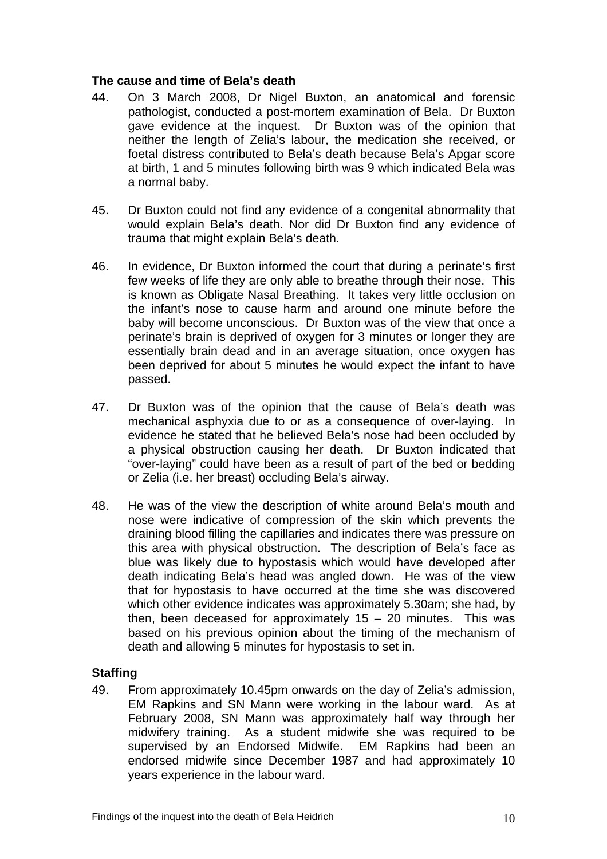#### **The cause and time of Bela's death**

- 44. On 3 March 2008, Dr Nigel Buxton, an anatomical and forensic pathologist, conducted a post-mortem examination of Bela. Dr Buxton gave evidence at the inquest. Dr Buxton was of the opinion that neither the length of Zelia's labour, the medication she received, or foetal distress contributed to Bela's death because Bela's Apgar score at birth, 1 and 5 minutes following birth was 9 which indicated Bela was a normal baby.
- 45. Dr Buxton could not find any evidence of a congenital abnormality that would explain Bela's death. Nor did Dr Buxton find any evidence of trauma that might explain Bela's death.
- 46. In evidence, Dr Buxton informed the court that during a perinate's first few weeks of life they are only able to breathe through their nose. This is known as Obligate Nasal Breathing. It takes very little occlusion on the infant's nose to cause harm and around one minute before the baby will become unconscious. Dr Buxton was of the view that once a perinate's brain is deprived of oxygen for 3 minutes or longer they are essentially brain dead and in an average situation, once oxygen has been deprived for about 5 minutes he would expect the infant to have passed.
- 47. Dr Buxton was of the opinion that the cause of Bela's death was mechanical asphyxia due to or as a consequence of over-laying. In evidence he stated that he believed Bela's nose had been occluded by a physical obstruction causing her death. Dr Buxton indicated that "over-laying" could have been as a result of part of the bed or bedding or Zelia (i.e. her breast) occluding Bela's airway.
- 48. He was of the view the description of white around Bela's mouth and nose were indicative of compression of the skin which prevents the draining blood filling the capillaries and indicates there was pressure on this area with physical obstruction. The description of Bela's face as blue was likely due to hypostasis which would have developed after death indicating Bela's head was angled down. He was of the view that for hypostasis to have occurred at the time she was discovered which other evidence indicates was approximately 5.30am; she had, by then, been deceased for approximately  $15 - 20$  minutes. This was based on his previous opinion about the timing of the mechanism of death and allowing 5 minutes for hypostasis to set in.

#### **Staffing**

49. From approximately 10.45pm onwards on the day of Zelia's admission, EM Rapkins and SN Mann were working in the labour ward. As at February 2008, SN Mann was approximately half way through her midwifery training. As a student midwife she was required to be supervised by an Endorsed Midwife. EM Rapkins had been an endorsed midwife since December 1987 and had approximately 10 years experience in the labour ward.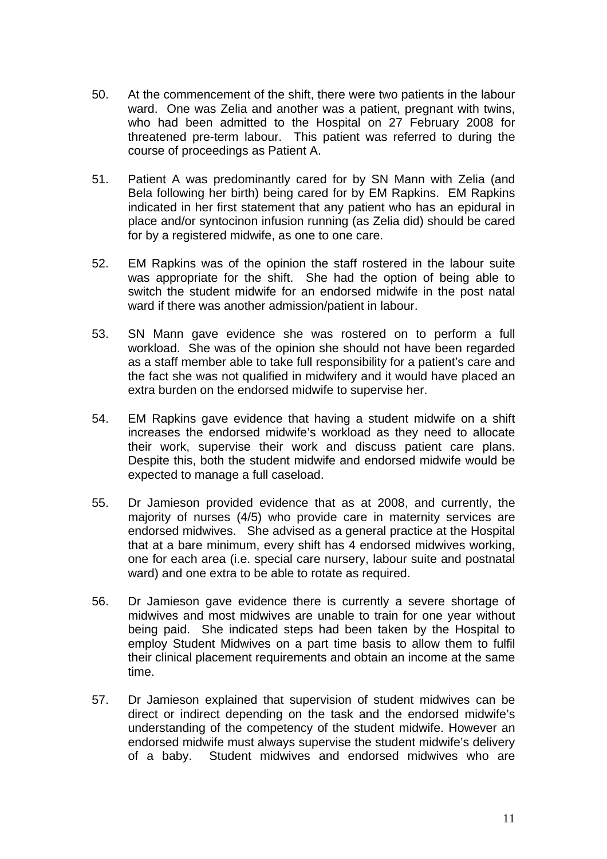- 50. At the commencement of the shift, there were two patients in the labour ward. One was Zelia and another was a patient, pregnant with twins, who had been admitted to the Hospital on 27 February 2008 for threatened pre-term labour. This patient was referred to during the course of proceedings as Patient A.
- 51. Patient A was predominantly cared for by SN Mann with Zelia (and Bela following her birth) being cared for by EM Rapkins. EM Rapkins indicated in her first statement that any patient who has an epidural in place and/or syntocinon infusion running (as Zelia did) should be cared for by a registered midwife, as one to one care.
- 52. EM Rapkins was of the opinion the staff rostered in the labour suite was appropriate for the shift. She had the option of being able to switch the student midwife for an endorsed midwife in the post natal ward if there was another admission/patient in labour.
- 53. SN Mann gave evidence she was rostered on to perform a full workload. She was of the opinion she should not have been regarded as a staff member able to take full responsibility for a patient's care and the fact she was not qualified in midwifery and it would have placed an extra burden on the endorsed midwife to supervise her.
- 54. EM Rapkins gave evidence that having a student midwife on a shift increases the endorsed midwife's workload as they need to allocate their work, supervise their work and discuss patient care plans. Despite this, both the student midwife and endorsed midwife would be expected to manage a full caseload.
- 55. Dr Jamieson provided evidence that as at 2008, and currently, the majority of nurses (4/5) who provide care in maternity services are endorsed midwives. She advised as a general practice at the Hospital that at a bare minimum, every shift has 4 endorsed midwives working, one for each area (i.e. special care nursery, labour suite and postnatal ward) and one extra to be able to rotate as required.
- 56. Dr Jamieson gave evidence there is currently a severe shortage of midwives and most midwives are unable to train for one year without being paid. She indicated steps had been taken by the Hospital to employ Student Midwives on a part time basis to allow them to fulfil their clinical placement requirements and obtain an income at the same time.
- 57. Dr Jamieson explained that supervision of student midwives can be direct or indirect depending on the task and the endorsed midwife's understanding of the competency of the student midwife. However an endorsed midwife must always supervise the student midwife's delivery of a baby. Student midwives and endorsed midwives who are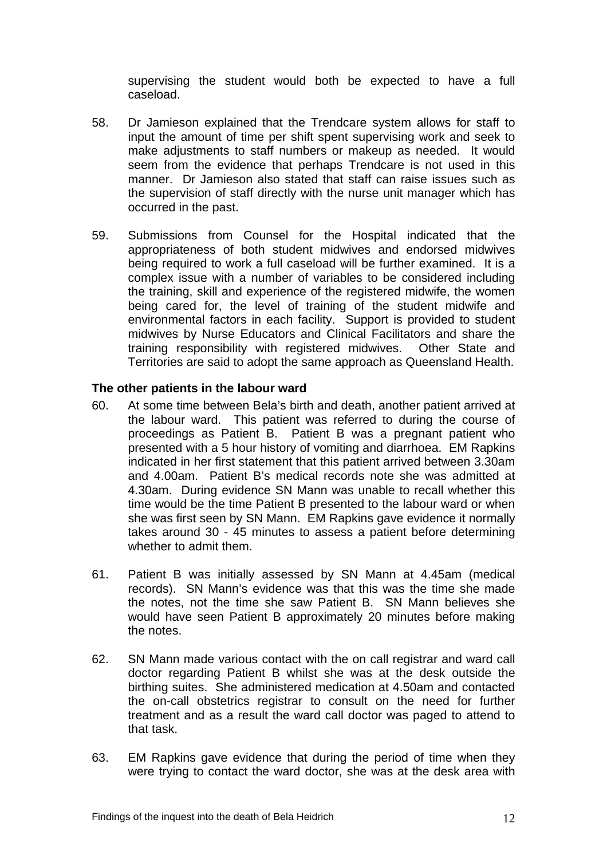supervising the student would both be expected to have a full caseload.

- 58. Dr Jamieson explained that the Trendcare system allows for staff to input the amount of time per shift spent supervising work and seek to make adjustments to staff numbers or makeup as needed. It would seem from the evidence that perhaps Trendcare is not used in this manner. Dr Jamieson also stated that staff can raise issues such as the supervision of staff directly with the nurse unit manager which has occurred in the past.
- 59. Submissions from Counsel for the Hospital indicated that the appropriateness of both student midwives and endorsed midwives being required to work a full caseload will be further examined. It is a complex issue with a number of variables to be considered including the training, skill and experience of the registered midwife, the women being cared for, the level of training of the student midwife and environmental factors in each facility. Support is provided to student midwives by Nurse Educators and Clinical Facilitators and share the training responsibility with registered midwives. Other State and Territories are said to adopt the same approach as Queensland Health.

#### **The other patients in the labour ward**

- 60. At some time between Bela's birth and death, another patient arrived at the labour ward. This patient was referred to during the course of proceedings as Patient B. Patient B was a pregnant patient who presented with a 5 hour history of vomiting and diarrhoea. EM Rapkins indicated in her first statement that this patient arrived between 3.30am and 4.00am. Patient B's medical records note she was admitted at 4.30am. During evidence SN Mann was unable to recall whether this time would be the time Patient B presented to the labour ward or when she was first seen by SN Mann. EM Rapkins gave evidence it normally takes around 30 - 45 minutes to assess a patient before determining whether to admit them.
- 61. Patient B was initially assessed by SN Mann at 4.45am (medical records). SN Mann's evidence was that this was the time she made the notes, not the time she saw Patient B. SN Mann believes she would have seen Patient B approximately 20 minutes before making the notes.
- 62. SN Mann made various contact with the on call registrar and ward call doctor regarding Patient B whilst she was at the desk outside the birthing suites. She administered medication at 4.50am and contacted the on-call obstetrics registrar to consult on the need for further treatment and as a result the ward call doctor was paged to attend to that task.
- 63. EM Rapkins gave evidence that during the period of time when they were trying to contact the ward doctor, she was at the desk area with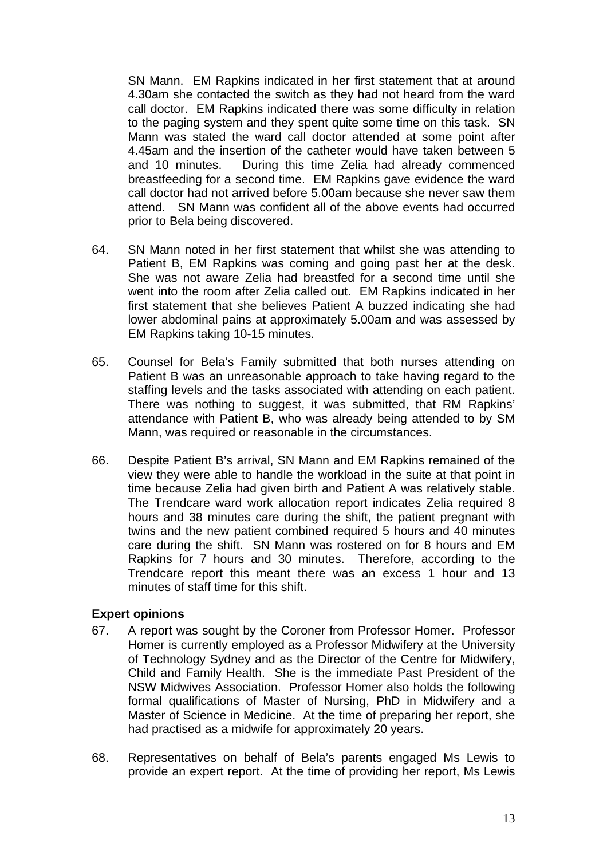SN Mann. EM Rapkins indicated in her first statement that at around 4.30am she contacted the switch as they had not heard from the ward call doctor. EM Rapkins indicated there was some difficulty in relation to the paging system and they spent quite some time on this task. SN Mann was stated the ward call doctor attended at some point after 4.45am and the insertion of the catheter would have taken between 5 and 10 minutes. During this time Zelia had already commenced breastfeeding for a second time. EM Rapkins gave evidence the ward call doctor had not arrived before 5.00am because she never saw them attend. SN Mann was confident all of the above events had occurred prior to Bela being discovered.

- 64. SN Mann noted in her first statement that whilst she was attending to Patient B, EM Rapkins was coming and going past her at the desk. She was not aware Zelia had breastfed for a second time until she went into the room after Zelia called out. EM Rapkins indicated in her first statement that she believes Patient A buzzed indicating she had lower abdominal pains at approximately 5.00am and was assessed by EM Rapkins taking 10-15 minutes.
- 65. Counsel for Bela's Family submitted that both nurses attending on Patient B was an unreasonable approach to take having regard to the staffing levels and the tasks associated with attending on each patient. There was nothing to suggest, it was submitted, that RM Rapkins' attendance with Patient B, who was already being attended to by SM Mann, was required or reasonable in the circumstances.
- 66. Despite Patient B's arrival, SN Mann and EM Rapkins remained of the view they were able to handle the workload in the suite at that point in time because Zelia had given birth and Patient A was relatively stable. The Trendcare ward work allocation report indicates Zelia required 8 hours and 38 minutes care during the shift, the patient pregnant with twins and the new patient combined required 5 hours and 40 minutes care during the shift. SN Mann was rostered on for 8 hours and EM Rapkins for 7 hours and 30 minutes. Therefore, according to the Trendcare report this meant there was an excess 1 hour and 13 minutes of staff time for this shift.

#### **Expert opinions**

- 67. A report was sought by the Coroner from Professor Homer. Professor Homer is currently employed as a Professor Midwifery at the University of Technology Sydney and as the Director of the Centre for Midwifery, Child and Family Health. She is the immediate Past President of the NSW Midwives Association. Professor Homer also holds the following formal qualifications of Master of Nursing, PhD in Midwifery and a Master of Science in Medicine. At the time of preparing her report, she had practised as a midwife for approximately 20 years.
- 68. Representatives on behalf of Bela's parents engaged Ms Lewis to provide an expert report. At the time of providing her report, Ms Lewis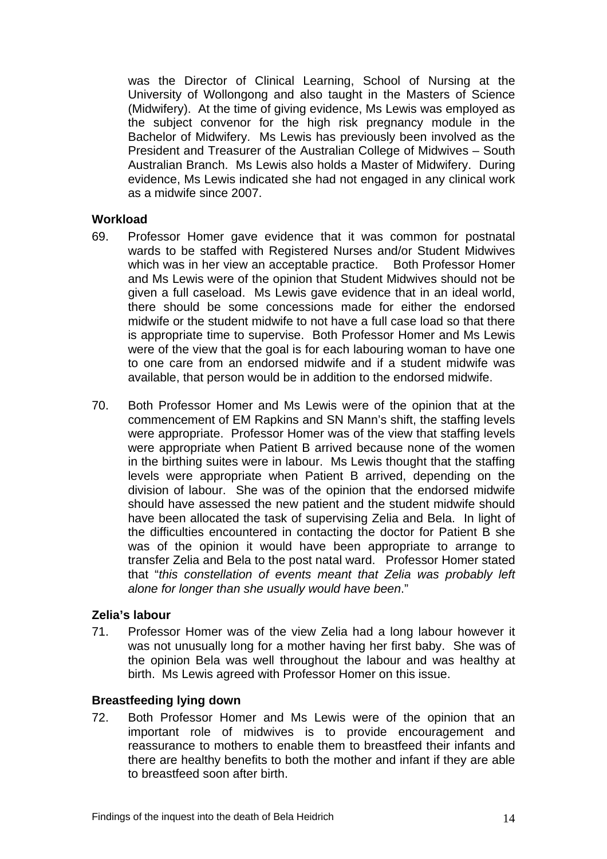was the Director of Clinical Learning, School of Nursing at the University of Wollongong and also taught in the Masters of Science (Midwifery). At the time of giving evidence, Ms Lewis was employed as the subject convenor for the high risk pregnancy module in the Bachelor of Midwifery. Ms Lewis has previously been involved as the President and Treasurer of the Australian College of Midwives – South Australian Branch. Ms Lewis also holds a Master of Midwifery. During evidence, Ms Lewis indicated she had not engaged in any clinical work as a midwife since 2007.

#### **Workload**

- 69. Professor Homer gave evidence that it was common for postnatal wards to be staffed with Registered Nurses and/or Student Midwives which was in her view an acceptable practice. Both Professor Homer and Ms Lewis were of the opinion that Student Midwives should not be given a full caseload. Ms Lewis gave evidence that in an ideal world, there should be some concessions made for either the endorsed midwife or the student midwife to not have a full case load so that there is appropriate time to supervise. Both Professor Homer and Ms Lewis were of the view that the goal is for each labouring woman to have one to one care from an endorsed midwife and if a student midwife was available, that person would be in addition to the endorsed midwife.
- 70. Both Professor Homer and Ms Lewis were of the opinion that at the commencement of EM Rapkins and SN Mann's shift, the staffing levels were appropriate. Professor Homer was of the view that staffing levels were appropriate when Patient B arrived because none of the women in the birthing suites were in labour. Ms Lewis thought that the staffing levels were appropriate when Patient B arrived, depending on the division of labour. She was of the opinion that the endorsed midwife should have assessed the new patient and the student midwife should have been allocated the task of supervising Zelia and Bela. In light of the difficulties encountered in contacting the doctor for Patient B she was of the opinion it would have been appropriate to arrange to transfer Zelia and Bela to the post natal ward. Professor Homer stated that "*this constellation of events meant that Zelia was probably left alone for longer than she usually would have been*."

#### **Zelia's labour**

71. Professor Homer was of the view Zelia had a long labour however it was not unusually long for a mother having her first baby. She was of the opinion Bela was well throughout the labour and was healthy at birth. Ms Lewis agreed with Professor Homer on this issue.

#### **Breastfeeding lying down**

72. Both Professor Homer and Ms Lewis were of the opinion that an important role of midwives is to provide encouragement and reassurance to mothers to enable them to breastfeed their infants and there are healthy benefits to both the mother and infant if they are able to breastfeed soon after birth.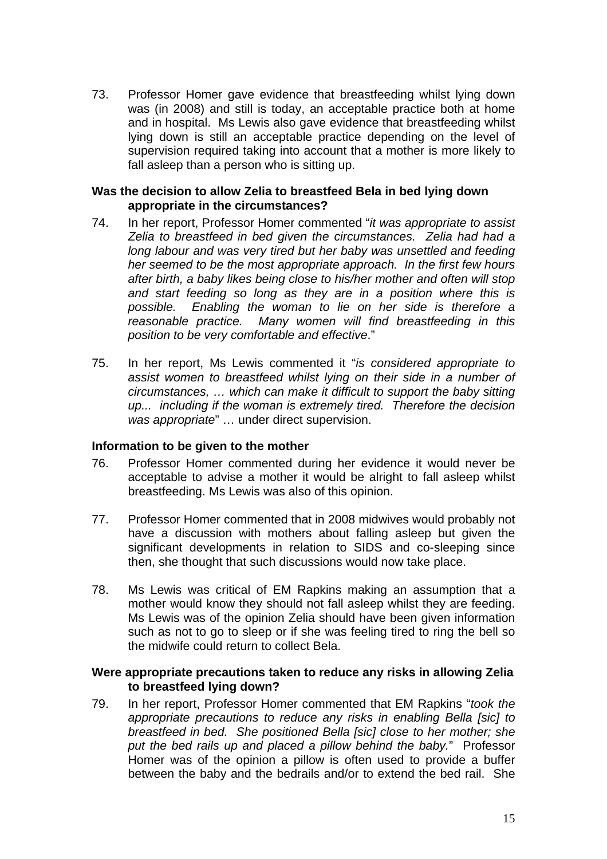73. Professor Homer gave evidence that breastfeeding whilst lying down was (in 2008) and still is today, an acceptable practice both at home and in hospital. Ms Lewis also gave evidence that breastfeeding whilst lying down is still an acceptable practice depending on the level of supervision required taking into account that a mother is more likely to fall asleep than a person who is sitting up.

#### **Was the decision to allow Zelia to breastfeed Bela in bed lying down appropriate in the circumstances?**

- 74. In her report, Professor Homer commented "*it was appropriate to assist Zelia to breastfeed in bed given the circumstances. Zelia had had a long labour and was very tired but her baby was unsettled and feeding her seemed to be the most appropriate approach. In the first few hours after birth, a baby likes being close to his/her mother and often will stop and start feeding so long as they are in a position where this is possible. Enabling the woman to lie on her side is therefore a reasonable practice. Many women will find breastfeeding in this position to be very comfortable and effective*."
- 75. In her report, Ms Lewis commented it "*is considered appropriate to assist women to breastfeed whilst lying on their side in a number of circumstances, … which can make it difficult to support the baby sitting up... including if the woman is extremely tired. Therefore the decision was appropriate*" … under direct supervision.

#### **Information to be given to the mother**

- 76. Professor Homer commented during her evidence it would never be acceptable to advise a mother it would be alright to fall asleep whilst breastfeeding. Ms Lewis was also of this opinion.
- 77. Professor Homer commented that in 2008 midwives would probably not have a discussion with mothers about falling asleep but given the significant developments in relation to SIDS and co-sleeping since then, she thought that such discussions would now take place.
- 78. Ms Lewis was critical of EM Rapkins making an assumption that a mother would know they should not fall asleep whilst they are feeding. Ms Lewis was of the opinion Zelia should have been given information such as not to go to sleep or if she was feeling tired to ring the bell so the midwife could return to collect Bela.

#### **Were appropriate precautions taken to reduce any risks in allowing Zelia to breastfeed lying down?**

79. In her report, Professor Homer commented that EM Rapkins "*took the appropriate precautions to reduce any risks in enabling Bella [sic] to breastfeed in bed. She positioned Bella [sic] close to her mother; she put the bed rails up and placed a pillow behind the baby.*" Professor Homer was of the opinion a pillow is often used to provide a buffer between the baby and the bedrails and/or to extend the bed rail. She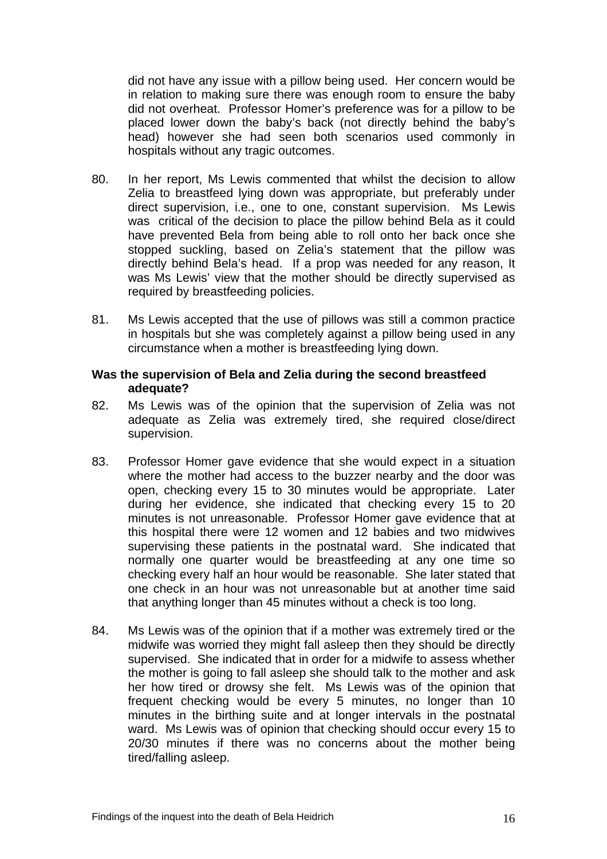did not have any issue with a pillow being used. Her concern would be in relation to making sure there was enough room to ensure the baby did not overheat. Professor Homer's preference was for a pillow to be placed lower down the baby's back (not directly behind the baby's head) however she had seen both scenarios used commonly in hospitals without any tragic outcomes.

- 80. In her report, Ms Lewis commented that whilst the decision to allow Zelia to breastfeed lying down was appropriate, but preferably under direct supervision, i.e., one to one, constant supervision. Ms Lewis was critical of the decision to place the pillow behind Bela as it could have prevented Bela from being able to roll onto her back once she stopped suckling, based on Zelia's statement that the pillow was directly behind Bela's head. If a prop was needed for any reason, It was Ms Lewis' view that the mother should be directly supervised as required by breastfeeding policies.
- 81. Ms Lewis accepted that the use of pillows was still a common practice in hospitals but she was completely against a pillow being used in any circumstance when a mother is breastfeeding lying down.

#### **Was the supervision of Bela and Zelia during the second breastfeed adequate?**

- 82. Ms Lewis was of the opinion that the supervision of Zelia was not adequate as Zelia was extremely tired, she required close/direct supervision.
- 83. Professor Homer gave evidence that she would expect in a situation where the mother had access to the buzzer nearby and the door was open, checking every 15 to 30 minutes would be appropriate. Later during her evidence, she indicated that checking every 15 to 20 minutes is not unreasonable. Professor Homer gave evidence that at this hospital there were 12 women and 12 babies and two midwives supervising these patients in the postnatal ward. She indicated that normally one quarter would be breastfeeding at any one time so checking every half an hour would be reasonable. She later stated that one check in an hour was not unreasonable but at another time said that anything longer than 45 minutes without a check is too long.
- 84. Ms Lewis was of the opinion that if a mother was extremely tired or the midwife was worried they might fall asleep then they should be directly supervised. She indicated that in order for a midwife to assess whether the mother is going to fall asleep she should talk to the mother and ask her how tired or drowsy she felt. Ms Lewis was of the opinion that frequent checking would be every 5 minutes, no longer than 10 minutes in the birthing suite and at longer intervals in the postnatal ward. Ms Lewis was of opinion that checking should occur every 15 to 20/30 minutes if there was no concerns about the mother being tired/falling asleep.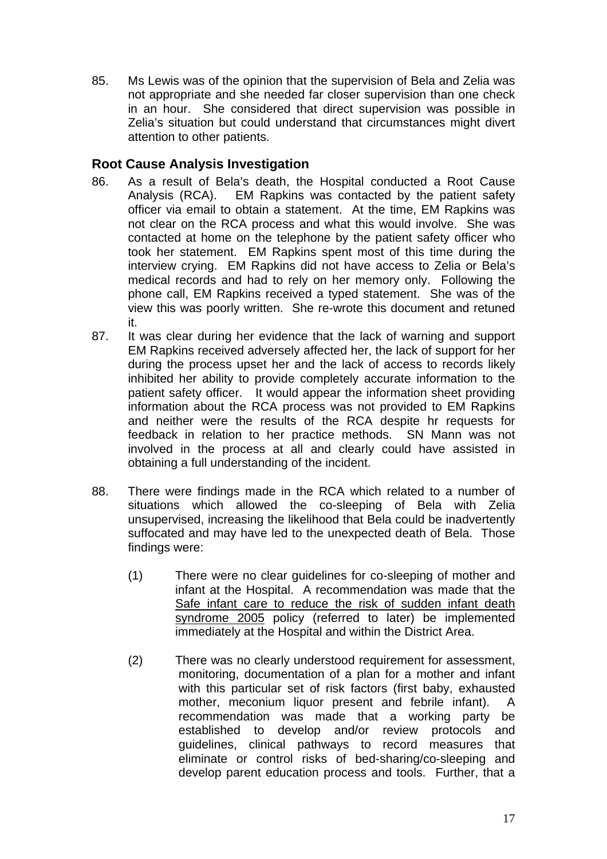85. Ms Lewis was of the opinion that the supervision of Bela and Zelia was not appropriate and she needed far closer supervision than one check in an hour. She considered that direct supervision was possible in Zelia's situation but could understand that circumstances might divert attention to other patients.

# **Root Cause Analysis Investigation**

- 86. As a result of Bela's death, the Hospital conducted a Root Cause Analysis (RCA). EM Rapkins was contacted by the patient safety officer via email to obtain a statement. At the time, EM Rapkins was not clear on the RCA process and what this would involve. She was contacted at home on the telephone by the patient safety officer who took her statement. EM Rapkins spent most of this time during the interview crying. EM Rapkins did not have access to Zelia or Bela's medical records and had to rely on her memory only. Following the phone call, EM Rapkins received a typed statement. She was of the view this was poorly written. She re-wrote this document and retuned it.
- 87. It was clear during her evidence that the lack of warning and support EM Rapkins received adversely affected her, the lack of support for her during the process upset her and the lack of access to records likely inhibited her ability to provide completely accurate information to the patient safety officer. It would appear the information sheet providing information about the RCA process was not provided to EM Rapkins and neither were the results of the RCA despite hr requests for feedback in relation to her practice methods. SN Mann was not involved in the process at all and clearly could have assisted in obtaining a full understanding of the incident.
- 88. There were findings made in the RCA which related to a number of situations which allowed the co-sleeping of Bela with Zelia unsupervised, increasing the likelihood that Bela could be inadvertently suffocated and may have led to the unexpected death of Bela. Those findings were:
	- (1) There were no clear guidelines for co-sleeping of mother and infant at the Hospital. A recommendation was made that the Safe infant care to reduce the risk of sudden infant death syndrome 2005 policy (referred to later) be implemented immediately at the Hospital and within the District Area.
	- (2) There was no clearly understood requirement for assessment, monitoring, documentation of a plan for a mother and infant with this particular set of risk factors (first baby, exhausted mother, meconium liquor present and febrile infant). A recommendation was made that a working party be established to develop and/or review protocols and guidelines, clinical pathways to record measures that eliminate or control risks of bed-sharing/co-sleeping and develop parent education process and tools. Further, that a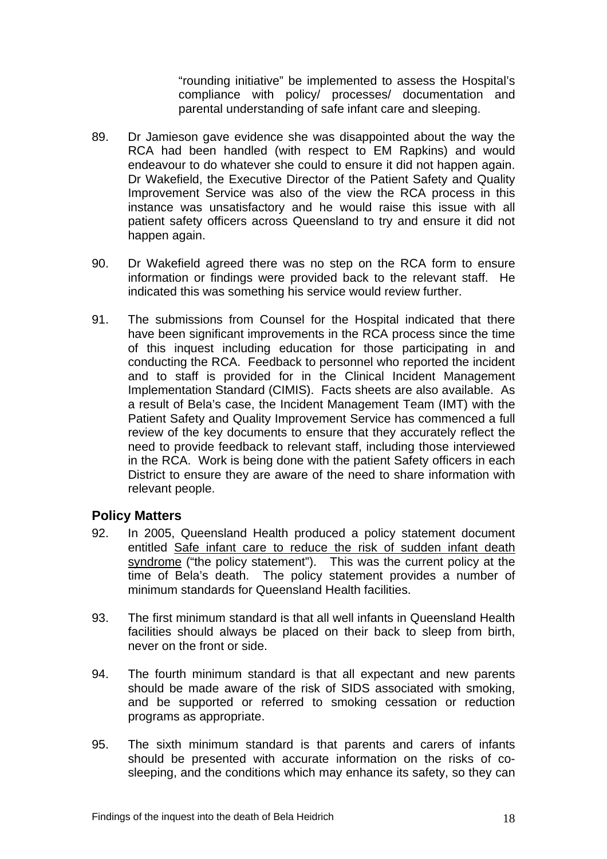"rounding initiative" be implemented to assess the Hospital's compliance with policy/ processes/ documentation and parental understanding of safe infant care and sleeping.

- 89. Dr Jamieson gave evidence she was disappointed about the way the RCA had been handled (with respect to EM Rapkins) and would endeavour to do whatever she could to ensure it did not happen again. Dr Wakefield, the Executive Director of the Patient Safety and Quality Improvement Service was also of the view the RCA process in this instance was unsatisfactory and he would raise this issue with all patient safety officers across Queensland to try and ensure it did not happen again.
- 90. Dr Wakefield agreed there was no step on the RCA form to ensure information or findings were provided back to the relevant staff. He indicated this was something his service would review further.
- 91. The submissions from Counsel for the Hospital indicated that there have been significant improvements in the RCA process since the time of this inquest including education for those participating in and conducting the RCA. Feedback to personnel who reported the incident and to staff is provided for in the Clinical Incident Management Implementation Standard (CIMIS). Facts sheets are also available. As a result of Bela's case, the Incident Management Team (IMT) with the Patient Safety and Quality Improvement Service has commenced a full review of the key documents to ensure that they accurately reflect the need to provide feedback to relevant staff, including those interviewed in the RCA. Work is being done with the patient Safety officers in each District to ensure they are aware of the need to share information with relevant people.

#### **Policy Matters**

- 92. In 2005, Queensland Health produced a policy statement document entitled Safe infant care to reduce the risk of sudden infant death syndrome ("the policy statement"). This was the current policy at the time of Bela's death. The policy statement provides a number of minimum standards for Queensland Health facilities
- 93. The first minimum standard is that all well infants in Queensland Health facilities should always be placed on their back to sleep from birth, never on the front or side.
- 94. The fourth minimum standard is that all expectant and new parents should be made aware of the risk of SIDS associated with smoking, and be supported or referred to smoking cessation or reduction programs as appropriate.
- 95. The sixth minimum standard is that parents and carers of infants should be presented with accurate information on the risks of cosleeping, and the conditions which may enhance its safety, so they can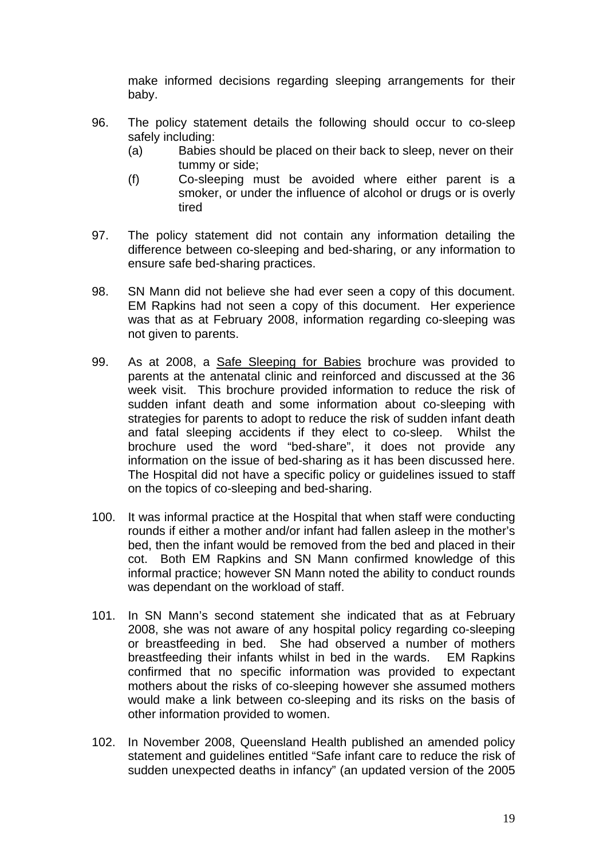make informed decisions regarding sleeping arrangements for their baby.

- 96. The policy statement details the following should occur to co-sleep safely including:
	- (a) Babies should be placed on their back to sleep, never on their tummy or side;
	- (f) Co-sleeping must be avoided where either parent is a smoker, or under the influence of alcohol or drugs or is overly tired
- 97. The policy statement did not contain any information detailing the difference between co-sleeping and bed-sharing, or any information to ensure safe bed-sharing practices.
- 98. SN Mann did not believe she had ever seen a copy of this document. EM Rapkins had not seen a copy of this document. Her experience was that as at February 2008, information regarding co-sleeping was not given to parents.
- 99. As at 2008, a Safe Sleeping for Babies brochure was provided to parents at the antenatal clinic and reinforced and discussed at the 36 week visit. This brochure provided information to reduce the risk of sudden infant death and some information about co-sleeping with strategies for parents to adopt to reduce the risk of sudden infant death and fatal sleeping accidents if they elect to co-sleep. Whilst the brochure used the word "bed-share", it does not provide any information on the issue of bed-sharing as it has been discussed here. The Hospital did not have a specific policy or guidelines issued to staff on the topics of co-sleeping and bed-sharing.
- 100. It was informal practice at the Hospital that when staff were conducting rounds if either a mother and/or infant had fallen asleep in the mother's bed, then the infant would be removed from the bed and placed in their cot. Both EM Rapkins and SN Mann confirmed knowledge of this informal practice; however SN Mann noted the ability to conduct rounds was dependant on the workload of staff.
- 101. In SN Mann's second statement she indicated that as at February 2008, she was not aware of any hospital policy regarding co-sleeping or breastfeeding in bed. She had observed a number of mothers breastfeeding their infants whilst in bed in the wards. EM Rapkins confirmed that no specific information was provided to expectant mothers about the risks of co-sleeping however she assumed mothers would make a link between co-sleeping and its risks on the basis of other information provided to women.
- 102. In November 2008, Queensland Health published an amended policy statement and guidelines entitled "Safe infant care to reduce the risk of sudden unexpected deaths in infancy" (an updated version of the 2005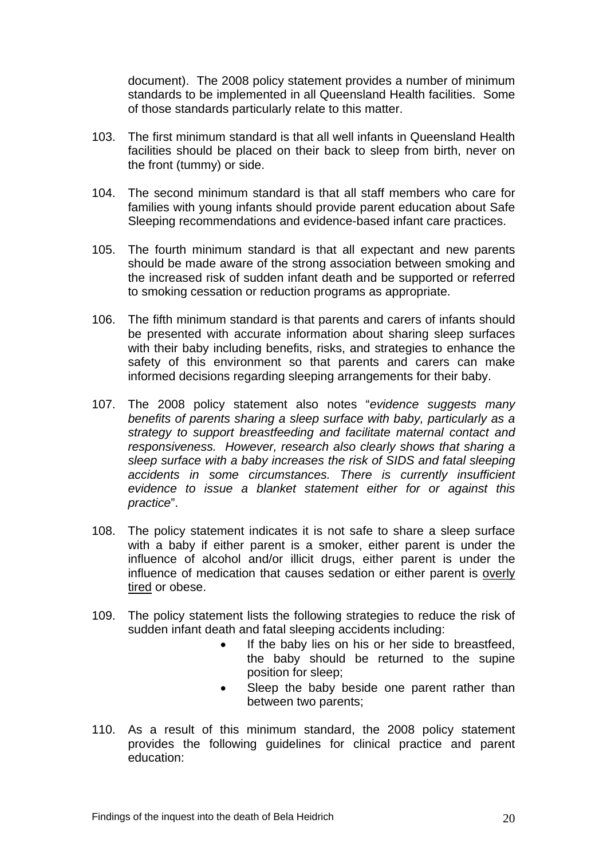document). The 2008 policy statement provides a number of minimum standards to be implemented in all Queensland Health facilities. Some of those standards particularly relate to this matter.

- 103. The first minimum standard is that all well infants in Queensland Health facilities should be placed on their back to sleep from birth, never on the front (tummy) or side.
- 104. The second minimum standard is that all staff members who care for families with young infants should provide parent education about Safe Sleeping recommendations and evidence-based infant care practices.
- 105. The fourth minimum standard is that all expectant and new parents should be made aware of the strong association between smoking and the increased risk of sudden infant death and be supported or referred to smoking cessation or reduction programs as appropriate.
- 106. The fifth minimum standard is that parents and carers of infants should be presented with accurate information about sharing sleep surfaces with their baby including benefits, risks, and strategies to enhance the safety of this environment so that parents and carers can make informed decisions regarding sleeping arrangements for their baby.
- 107. The 2008 policy statement also notes "*evidence suggests many benefits of parents sharing a sleep surface with baby, particularly as a strategy to support breastfeeding and facilitate maternal contact and responsiveness. However, research also clearly shows that sharing a sleep surface with a baby increases the risk of SIDS and fatal sleeping accidents in some circumstances. There is currently insufficient evidence to issue a blanket statement either for or against this practice*".
- 108. The policy statement indicates it is not safe to share a sleep surface with a baby if either parent is a smoker, either parent is under the influence of alcohol and/or illicit drugs, either parent is under the influence of medication that causes sedation or either parent is overly tired or obese.
- 109. The policy statement lists the following strategies to reduce the risk of sudden infant death and fatal sleeping accidents including:
	- If the baby lies on his or her side to breastfeed. the baby should be returned to the supine position for sleep;
	- Sleep the baby beside one parent rather than between two parents;
- 110. As a result of this minimum standard, the 2008 policy statement provides the following guidelines for clinical practice and parent education: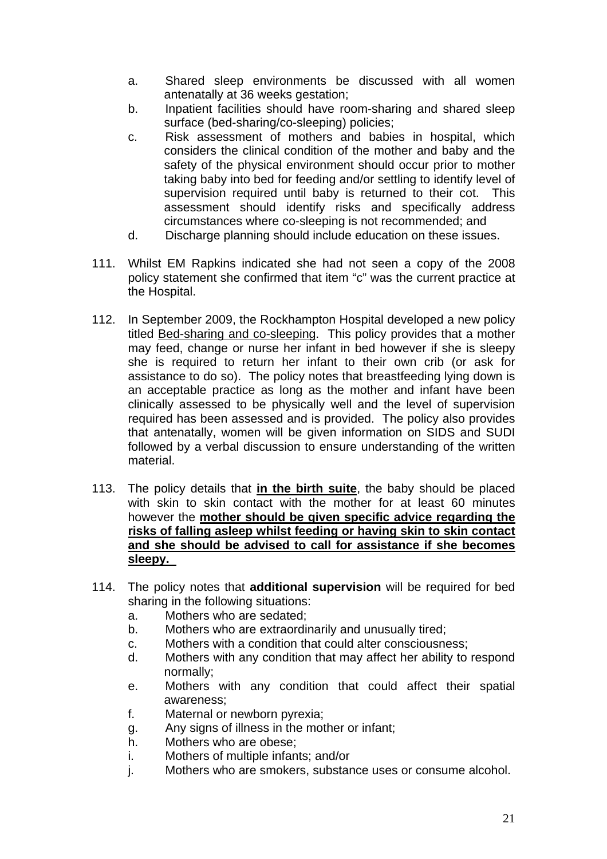- a. Shared sleep environments be discussed with all women antenatally at 36 weeks gestation;
- b. Inpatient facilities should have room-sharing and shared sleep surface (bed-sharing/co-sleeping) policies;
- c. Risk assessment of mothers and babies in hospital, which considers the clinical condition of the mother and baby and the safety of the physical environment should occur prior to mother taking baby into bed for feeding and/or settling to identify level of supervision required until baby is returned to their cot. This assessment should identify risks and specifically address circumstances where co-sleeping is not recommended; and
- d. Discharge planning should include education on these issues.
- 111. Whilst EM Rapkins indicated she had not seen a copy of the 2008 policy statement she confirmed that item "c" was the current practice at the Hospital.
- 112. In September 2009, the Rockhampton Hospital developed a new policy titled Bed-sharing and co-sleeping. This policy provides that a mother may feed, change or nurse her infant in bed however if she is sleepy she is required to return her infant to their own crib (or ask for assistance to do so). The policy notes that breastfeeding lying down is an acceptable practice as long as the mother and infant have been clinically assessed to be physically well and the level of supervision required has been assessed and is provided. The policy also provides that antenatally, women will be given information on SIDS and SUDI followed by a verbal discussion to ensure understanding of the written material.
- 113. The policy details that **in the birth suite**, the baby should be placed with skin to skin contact with the mother for at least 60 minutes however the **mother should be given specific advice regarding the risks of falling asleep whilst feeding or having skin to skin contact and she should be advised to call for assistance if she becomes sleepy.**
- 114. The policy notes that **additional supervision** will be required for bed sharing in the following situations:
	- a. Mothers who are sedated;
	- b. Mothers who are extraordinarily and unusually tired;
	- c. Mothers with a condition that could alter consciousness;
	- d. Mothers with any condition that may affect her ability to respond normally;
	- e. Mothers with any condition that could affect their spatial awareness;
	- f. Maternal or newborn pyrexia;
	- g. Any signs of illness in the mother or infant;
	- h. Mothers who are obese;
	- i. Mothers of multiple infants; and/or
	- j. Mothers who are smokers, substance uses or consume alcohol.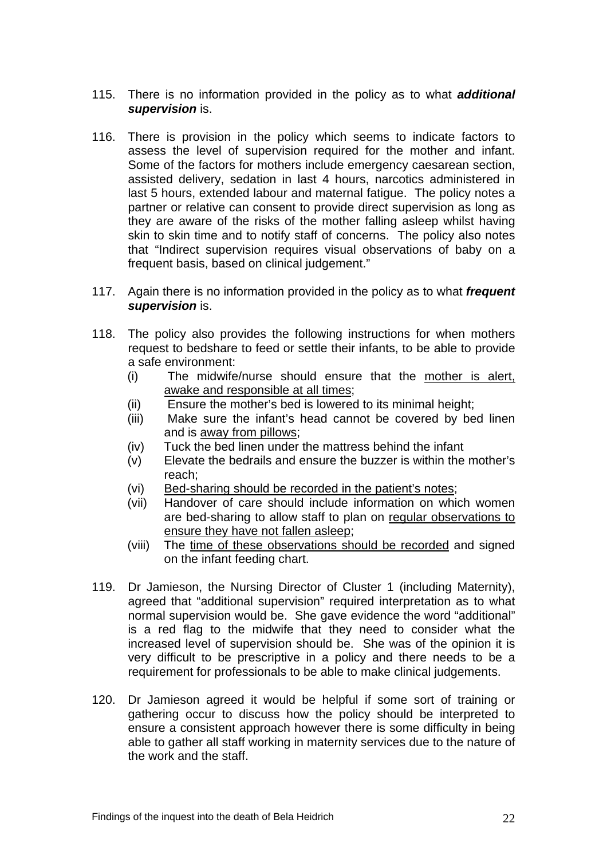- 115. There is no information provided in the policy as to what *additional supervision* is.
- 116. There is provision in the policy which seems to indicate factors to assess the level of supervision required for the mother and infant. Some of the factors for mothers include emergency caesarean section, assisted delivery, sedation in last 4 hours, narcotics administered in last 5 hours, extended labour and maternal fatigue. The policy notes a partner or relative can consent to provide direct supervision as long as they are aware of the risks of the mother falling asleep whilst having skin to skin time and to notify staff of concerns. The policy also notes that "Indirect supervision requires visual observations of baby on a frequent basis, based on clinical judgement."
- 117. Again there is no information provided in the policy as to what *frequent supervision* is.
- 118. The policy also provides the following instructions for when mothers request to bedshare to feed or settle their infants, to be able to provide a safe environment:
	- (i) The midwife/nurse should ensure that the mother is alert, awake and responsible at all times;
	- (ii) Ensure the mother's bed is lowered to its minimal height;
	- (iii) Make sure the infant's head cannot be covered by bed linen and is away from pillows;
	- (iv) Tuck the bed linen under the mattress behind the infant
	- (v) Elevate the bedrails and ensure the buzzer is within the mother's reach;
	- (vi) Bed-sharing should be recorded in the patient's notes;
	- (vii) Handover of care should include information on which women are bed-sharing to allow staff to plan on regular observations to ensure they have not fallen asleep;
	- (viii) The time of these observations should be recorded and signed on the infant feeding chart.
- 119. Dr Jamieson, the Nursing Director of Cluster 1 (including Maternity), agreed that "additional supervision" required interpretation as to what normal supervision would be. She gave evidence the word "additional" is a red flag to the midwife that they need to consider what the increased level of supervision should be. She was of the opinion it is very difficult to be prescriptive in a policy and there needs to be a requirement for professionals to be able to make clinical judgements.
- 120. Dr Jamieson agreed it would be helpful if some sort of training or gathering occur to discuss how the policy should be interpreted to ensure a consistent approach however there is some difficulty in being able to gather all staff working in maternity services due to the nature of the work and the staff.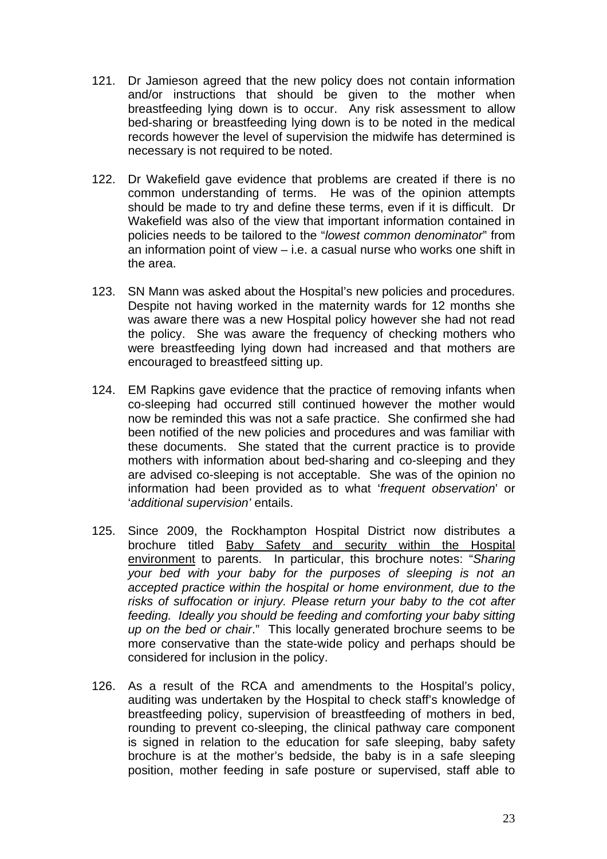- 121. Dr Jamieson agreed that the new policy does not contain information and/or instructions that should be given to the mother when breastfeeding lying down is to occur. Any risk assessment to allow bed-sharing or breastfeeding lying down is to be noted in the medical records however the level of supervision the midwife has determined is necessary is not required to be noted.
- 122. Dr Wakefield gave evidence that problems are created if there is no common understanding of terms. He was of the opinion attempts should be made to try and define these terms, even if it is difficult. Dr Wakefield was also of the view that important information contained in policies needs to be tailored to the "*lowest common denominator*" from an information point of view – i.e. a casual nurse who works one shift in the area.
- 123. SN Mann was asked about the Hospital's new policies and procedures. Despite not having worked in the maternity wards for 12 months she was aware there was a new Hospital policy however she had not read the policy. She was aware the frequency of checking mothers who were breastfeeding lying down had increased and that mothers are encouraged to breastfeed sitting up.
- 124. EM Rapkins gave evidence that the practice of removing infants when co-sleeping had occurred still continued however the mother would now be reminded this was not a safe practice. She confirmed she had been notified of the new policies and procedures and was familiar with these documents. She stated that the current practice is to provide mothers with information about bed-sharing and co-sleeping and they are advised co-sleeping is not acceptable. She was of the opinion no information had been provided as to what '*frequent observation*' or '*additional supervision'* entails.
- 125. Since 2009, the Rockhampton Hospital District now distributes a brochure titled Baby Safety and security within the Hospital environment to parents. In particular, this brochure notes: "*Sharing your bed with your baby for the purposes of sleeping is not an accepted practice within the hospital or home environment, due to the risks of suffocation or injury. Please return your baby to the cot after feeding. Ideally you should be feeding and comforting your baby sitting up on the bed or chair*." This locally generated brochure seems to be more conservative than the state-wide policy and perhaps should be considered for inclusion in the policy.
- 126. As a result of the RCA and amendments to the Hospital's policy, auditing was undertaken by the Hospital to check staff's knowledge of breastfeeding policy, supervision of breastfeeding of mothers in bed, rounding to prevent co-sleeping, the clinical pathway care component is signed in relation to the education for safe sleeping, baby safety brochure is at the mother's bedside, the baby is in a safe sleeping position, mother feeding in safe posture or supervised, staff able to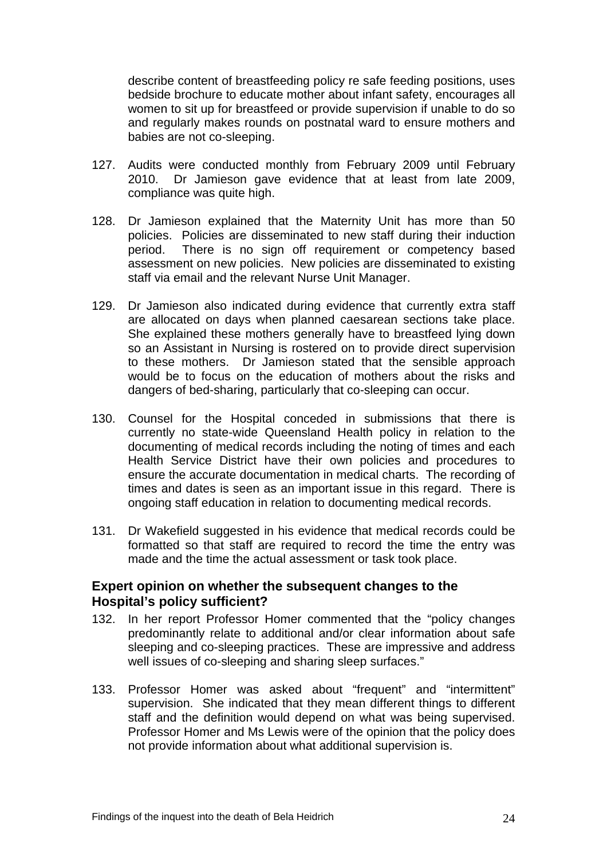describe content of breastfeeding policy re safe feeding positions, uses bedside brochure to educate mother about infant safety, encourages all women to sit up for breastfeed or provide supervision if unable to do so and regularly makes rounds on postnatal ward to ensure mothers and babies are not co-sleeping.

- 127. Audits were conducted monthly from February 2009 until February 2010. Dr Jamieson gave evidence that at least from late 2009, compliance was quite high.
- 128. Dr Jamieson explained that the Maternity Unit has more than 50 policies. Policies are disseminated to new staff during their induction period. There is no sign off requirement or competency based assessment on new policies. New policies are disseminated to existing staff via email and the relevant Nurse Unit Manager.
- 129. Dr Jamieson also indicated during evidence that currently extra staff are allocated on days when planned caesarean sections take place. She explained these mothers generally have to breastfeed lying down so an Assistant in Nursing is rostered on to provide direct supervision to these mothers. Dr Jamieson stated that the sensible approach would be to focus on the education of mothers about the risks and dangers of bed-sharing, particularly that co-sleeping can occur.
- 130. Counsel for the Hospital conceded in submissions that there is currently no state-wide Queensland Health policy in relation to the documenting of medical records including the noting of times and each Health Service District have their own policies and procedures to ensure the accurate documentation in medical charts. The recording of times and dates is seen as an important issue in this regard. There is ongoing staff education in relation to documenting medical records.
- 131. Dr Wakefield suggested in his evidence that medical records could be formatted so that staff are required to record the time the entry was made and the time the actual assessment or task took place.

#### **Expert opinion on whether the subsequent changes to the Hospital's policy sufficient?**

- 132. In her report Professor Homer commented that the "policy changes predominantly relate to additional and/or clear information about safe sleeping and co-sleeping practices. These are impressive and address well issues of co-sleeping and sharing sleep surfaces."
- 133. Professor Homer was asked about "frequent" and "intermittent" supervision. She indicated that they mean different things to different staff and the definition would depend on what was being supervised. Professor Homer and Ms Lewis were of the opinion that the policy does not provide information about what additional supervision is.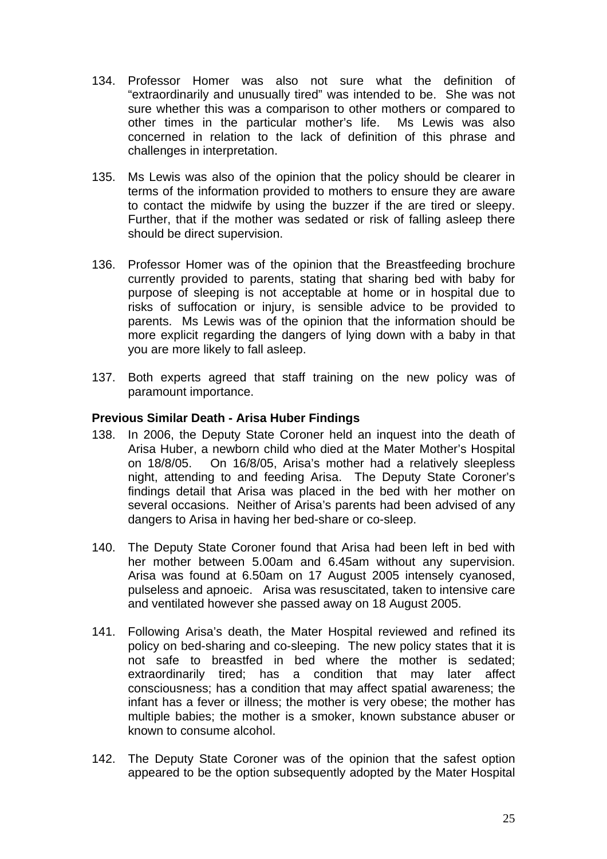- 134. Professor Homer was also not sure what the definition of "extraordinarily and unusually tired" was intended to be. She was not sure whether this was a comparison to other mothers or compared to other times in the particular mother's life. Ms Lewis was also concerned in relation to the lack of definition of this phrase and challenges in interpretation.
- 135. Ms Lewis was also of the opinion that the policy should be clearer in terms of the information provided to mothers to ensure they are aware to contact the midwife by using the buzzer if the are tired or sleepy. Further, that if the mother was sedated or risk of falling asleep there should be direct supervision.
- 136. Professor Homer was of the opinion that the Breastfeeding brochure currently provided to parents, stating that sharing bed with baby for purpose of sleeping is not acceptable at home or in hospital due to risks of suffocation or injury, is sensible advice to be provided to parents. Ms Lewis was of the opinion that the information should be more explicit regarding the dangers of lying down with a baby in that you are more likely to fall asleep.
- 137. Both experts agreed that staff training on the new policy was of paramount importance.

### **Previous Similar Death - Arisa Huber Findings**

- 138. In 2006, the Deputy State Coroner held an inquest into the death of Arisa Huber, a newborn child who died at the Mater Mother's Hospital on 18/8/05. On 16/8/05, Arisa's mother had a relatively sleepless night, attending to and feeding Arisa. The Deputy State Coroner's findings detail that Arisa was placed in the bed with her mother on several occasions. Neither of Arisa's parents had been advised of any dangers to Arisa in having her bed-share or co-sleep.
- 140. The Deputy State Coroner found that Arisa had been left in bed with her mother between 5.00am and 6.45am without any supervision. Arisa was found at 6.50am on 17 August 2005 intensely cyanosed, pulseless and apnoeic. Arisa was resuscitated, taken to intensive care and ventilated however she passed away on 18 August 2005.
- 141. Following Arisa's death, the Mater Hospital reviewed and refined its policy on bed-sharing and co-sleeping. The new policy states that it is not safe to breastfed in bed where the mother is sedated; extraordinarily tired; has a condition that may later affect consciousness; has a condition that may affect spatial awareness; the infant has a fever or illness; the mother is very obese; the mother has multiple babies; the mother is a smoker, known substance abuser or known to consume alcohol.
- 142. The Deputy State Coroner was of the opinion that the safest option appeared to be the option subsequently adopted by the Mater Hospital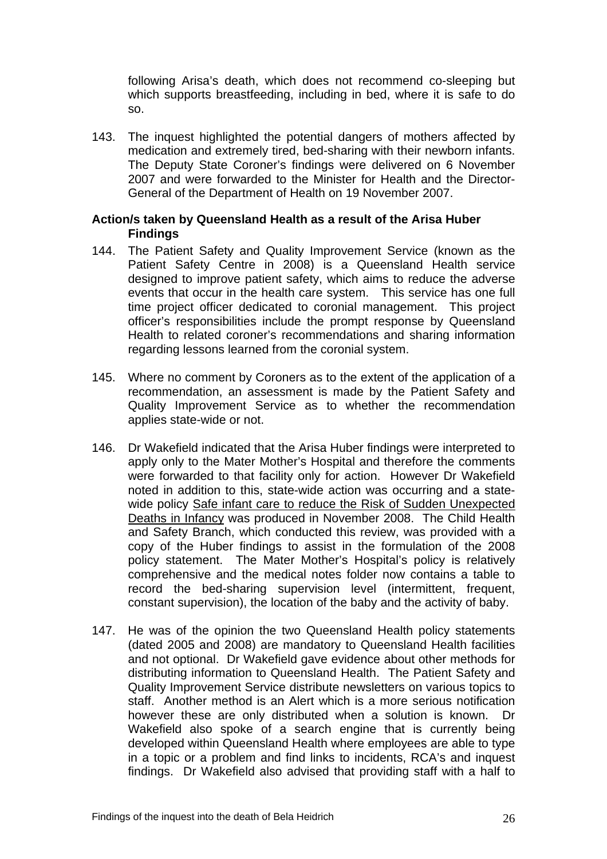following Arisa's death, which does not recommend co-sleeping but which supports breastfeeding, including in bed, where it is safe to do so.

143. The inquest highlighted the potential dangers of mothers affected by medication and extremely tired, bed-sharing with their newborn infants. The Deputy State Coroner's findings were delivered on 6 November 2007 and were forwarded to the Minister for Health and the Director-General of the Department of Health on 19 November 2007.

#### **Action/s taken by Queensland Health as a result of the Arisa Huber Findings**

- 144. The Patient Safety and Quality Improvement Service (known as the Patient Safety Centre in 2008) is a Queensland Health service designed to improve patient safety, which aims to reduce the adverse events that occur in the health care system. This service has one full time project officer dedicated to coronial management. This project officer's responsibilities include the prompt response by Queensland Health to related coroner's recommendations and sharing information regarding lessons learned from the coronial system.
- 145. Where no comment by Coroners as to the extent of the application of a recommendation, an assessment is made by the Patient Safety and Quality Improvement Service as to whether the recommendation applies state-wide or not.
- 146. Dr Wakefield indicated that the Arisa Huber findings were interpreted to apply only to the Mater Mother's Hospital and therefore the comments were forwarded to that facility only for action. However Dr Wakefield noted in addition to this, state-wide action was occurring and a statewide policy Safe infant care to reduce the Risk of Sudden Unexpected Deaths in Infancy was produced in November 2008. The Child Health and Safety Branch, which conducted this review, was provided with a copy of the Huber findings to assist in the formulation of the 2008 policy statement. The Mater Mother's Hospital's policy is relatively comprehensive and the medical notes folder now contains a table to record the bed-sharing supervision level (intermittent, frequent, constant supervision), the location of the baby and the activity of baby.
- 147. He was of the opinion the two Queensland Health policy statements (dated 2005 and 2008) are mandatory to Queensland Health facilities and not optional. Dr Wakefield gave evidence about other methods for distributing information to Queensland Health. The Patient Safety and Quality Improvement Service distribute newsletters on various topics to staff. Another method is an Alert which is a more serious notification however these are only distributed when a solution is known. Dr Wakefield also spoke of a search engine that is currently being developed within Queensland Health where employees are able to type in a topic or a problem and find links to incidents, RCA's and inquest findings. Dr Wakefield also advised that providing staff with a half to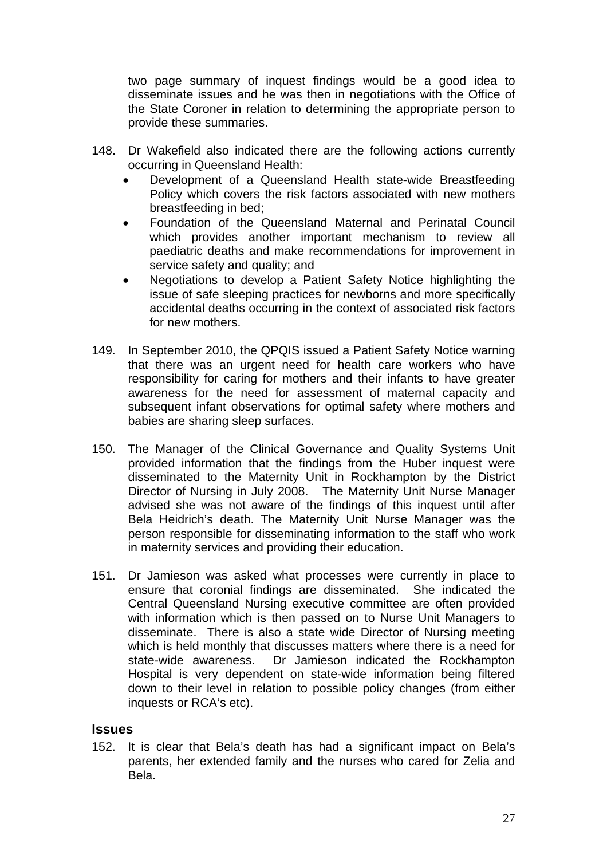two page summary of inquest findings would be a good idea to disseminate issues and he was then in negotiations with the Office of the State Coroner in relation to determining the appropriate person to provide these summaries.

- 148. Dr Wakefield also indicated there are the following actions currently occurring in Queensland Health:
	- Development of a Queensland Health state-wide Breastfeeding Policy which covers the risk factors associated with new mothers breastfeeding in bed;
	- Foundation of the Queensland Maternal and Perinatal Council which provides another important mechanism to review all paediatric deaths and make recommendations for improvement in service safety and quality; and
	- Negotiations to develop a Patient Safety Notice highlighting the issue of safe sleeping practices for newborns and more specifically accidental deaths occurring in the context of associated risk factors for new mothers.
- 149. In September 2010, the QPQIS issued a Patient Safety Notice warning that there was an urgent need for health care workers who have responsibility for caring for mothers and their infants to have greater awareness for the need for assessment of maternal capacity and subsequent infant observations for optimal safety where mothers and babies are sharing sleep surfaces.
- 150. The Manager of the Clinical Governance and Quality Systems Unit provided information that the findings from the Huber inquest were disseminated to the Maternity Unit in Rockhampton by the District Director of Nursing in July 2008. The Maternity Unit Nurse Manager advised she was not aware of the findings of this inquest until after Bela Heidrich's death. The Maternity Unit Nurse Manager was the person responsible for disseminating information to the staff who work in maternity services and providing their education.
- 151. Dr Jamieson was asked what processes were currently in place to ensure that coronial findings are disseminated. She indicated the Central Queensland Nursing executive committee are often provided with information which is then passed on to Nurse Unit Managers to disseminate. There is also a state wide Director of Nursing meeting which is held monthly that discusses matters where there is a need for state-wide awareness. Dr Jamieson indicated the Rockhampton Hospital is very dependent on state-wide information being filtered down to their level in relation to possible policy changes (from either inquests or RCA's etc).

#### **Issues**

152. It is clear that Bela's death has had a significant impact on Bela's parents, her extended family and the nurses who cared for Zelia and Bela.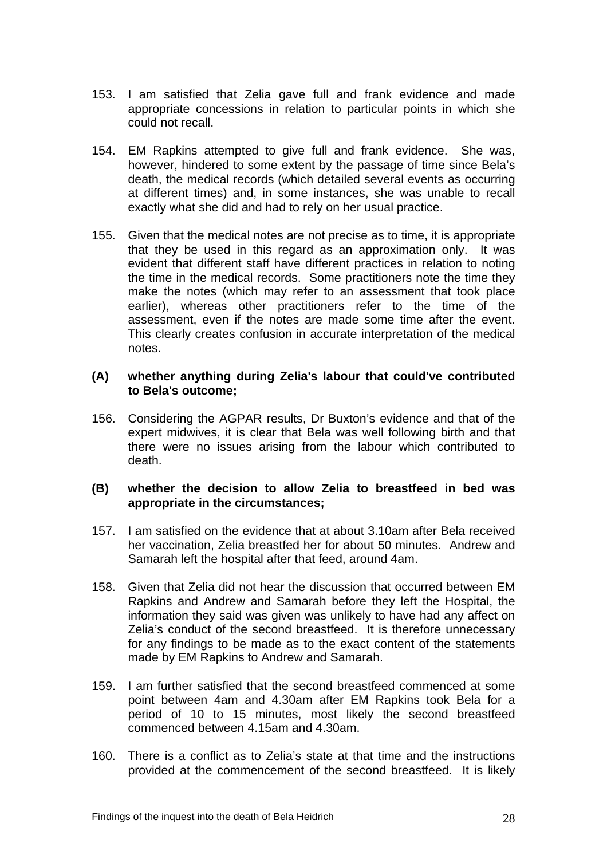- 153. I am satisfied that Zelia gave full and frank evidence and made appropriate concessions in relation to particular points in which she could not recall.
- 154. EM Rapkins attempted to give full and frank evidence. She was, however, hindered to some extent by the passage of time since Bela's death, the medical records (which detailed several events as occurring at different times) and, in some instances, she was unable to recall exactly what she did and had to rely on her usual practice.
- 155. Given that the medical notes are not precise as to time, it is appropriate that they be used in this regard as an approximation only. It was evident that different staff have different practices in relation to noting the time in the medical records. Some practitioners note the time they make the notes (which may refer to an assessment that took place earlier), whereas other practitioners refer to the time of the assessment, even if the notes are made some time after the event. This clearly creates confusion in accurate interpretation of the medical notes.

#### **(A) whether anything during Zelia's labour that could've contributed to Bela's outcome;**

156. Considering the AGPAR results, Dr Buxton's evidence and that of the expert midwives, it is clear that Bela was well following birth and that there were no issues arising from the labour which contributed to death.

#### **(B) whether the decision to allow Zelia to breastfeed in bed was appropriate in the circumstances;**

- 157. I am satisfied on the evidence that at about 3.10am after Bela received her vaccination, Zelia breastfed her for about 50 minutes. Andrew and Samarah left the hospital after that feed, around 4am.
- 158. Given that Zelia did not hear the discussion that occurred between EM Rapkins and Andrew and Samarah before they left the Hospital, the information they said was given was unlikely to have had any affect on Zelia's conduct of the second breastfeed. It is therefore unnecessary for any findings to be made as to the exact content of the statements made by EM Rapkins to Andrew and Samarah.
- 159. I am further satisfied that the second breastfeed commenced at some point between 4am and 4.30am after EM Rapkins took Bela for a period of 10 to 15 minutes, most likely the second breastfeed commenced between 4.15am and 4.30am.
- 160. There is a conflict as to Zelia's state at that time and the instructions provided at the commencement of the second breastfeed. It is likely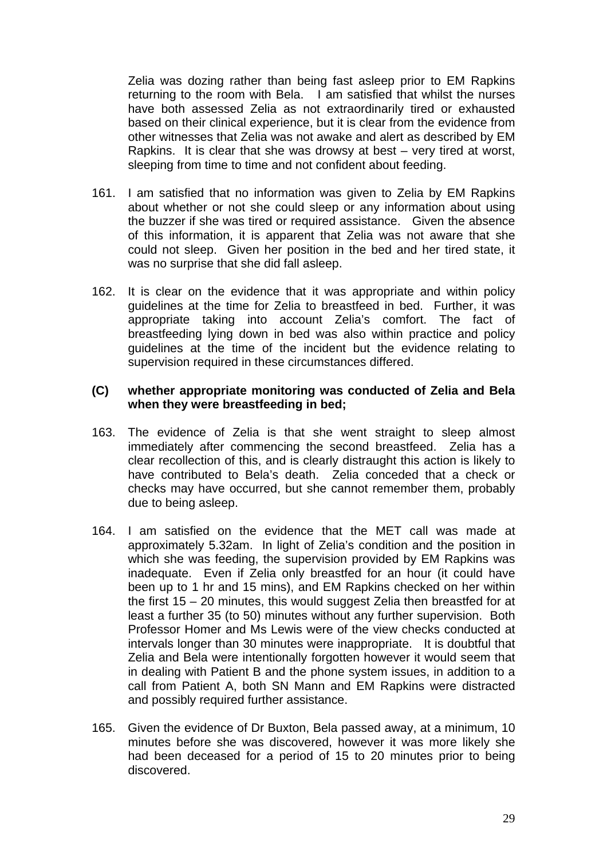Zelia was dozing rather than being fast asleep prior to EM Rapkins returning to the room with Bela. I am satisfied that whilst the nurses have both assessed Zelia as not extraordinarily tired or exhausted based on their clinical experience, but it is clear from the evidence from other witnesses that Zelia was not awake and alert as described by EM Rapkins. It is clear that she was drowsy at best – very tired at worst, sleeping from time to time and not confident about feeding.

- 161. I am satisfied that no information was given to Zelia by EM Rapkins about whether or not she could sleep or any information about using the buzzer if she was tired or required assistance. Given the absence of this information, it is apparent that Zelia was not aware that she could not sleep. Given her position in the bed and her tired state, it was no surprise that she did fall asleep.
- 162. It is clear on the evidence that it was appropriate and within policy guidelines at the time for Zelia to breastfeed in bed. Further, it was appropriate taking into account Zelia's comfort. The fact of breastfeeding lying down in bed was also within practice and policy guidelines at the time of the incident but the evidence relating to supervision required in these circumstances differed.

#### **(C) whether appropriate monitoring was conducted of Zelia and Bela when they were breastfeeding in bed;**

- 163. The evidence of Zelia is that she went straight to sleep almost immediately after commencing the second breastfeed. Zelia has a clear recollection of this, and is clearly distraught this action is likely to have contributed to Bela's death. Zelia conceded that a check or checks may have occurred, but she cannot remember them, probably due to being asleep.
- 164. I am satisfied on the evidence that the MET call was made at approximately 5.32am. In light of Zelia's condition and the position in which she was feeding, the supervision provided by EM Rapkins was inadequate. Even if Zelia only breastfed for an hour (it could have been up to 1 hr and 15 mins), and EM Rapkins checked on her within the first 15 – 20 minutes, this would suggest Zelia then breastfed for at least a further 35 (to 50) minutes without any further supervision. Both Professor Homer and Ms Lewis were of the view checks conducted at intervals longer than 30 minutes were inappropriate. It is doubtful that Zelia and Bela were intentionally forgotten however it would seem that in dealing with Patient B and the phone system issues, in addition to a call from Patient A, both SN Mann and EM Rapkins were distracted and possibly required further assistance.
- 165. Given the evidence of Dr Buxton, Bela passed away, at a minimum, 10 minutes before she was discovered, however it was more likely she had been deceased for a period of 15 to 20 minutes prior to being discovered.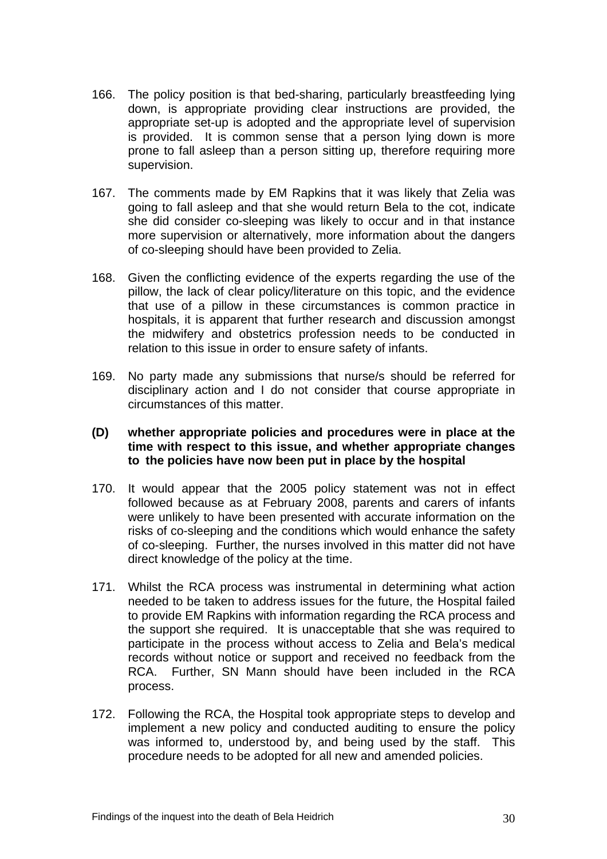- 166. The policy position is that bed-sharing, particularly breastfeeding lying down, is appropriate providing clear instructions are provided, the appropriate set-up is adopted and the appropriate level of supervision is provided. It is common sense that a person lying down is more prone to fall asleep than a person sitting up, therefore requiring more supervision.
- 167. The comments made by EM Rapkins that it was likely that Zelia was going to fall asleep and that she would return Bela to the cot, indicate she did consider co-sleeping was likely to occur and in that instance more supervision or alternatively, more information about the dangers of co-sleeping should have been provided to Zelia.
- 168. Given the conflicting evidence of the experts regarding the use of the pillow, the lack of clear policy/literature on this topic, and the evidence that use of a pillow in these circumstances is common practice in hospitals, it is apparent that further research and discussion amongst the midwifery and obstetrics profession needs to be conducted in relation to this issue in order to ensure safety of infants.
- 169. No party made any submissions that nurse/s should be referred for disciplinary action and I do not consider that course appropriate in circumstances of this matter.

#### **(D) whether appropriate policies and procedures were in place at the time with respect to this issue, and whether appropriate changes to the policies have now been put in place by the hospital**

- 170. It would appear that the 2005 policy statement was not in effect followed because as at February 2008, parents and carers of infants were unlikely to have been presented with accurate information on the risks of co-sleeping and the conditions which would enhance the safety of co-sleeping. Further, the nurses involved in this matter did not have direct knowledge of the policy at the time.
- 171. Whilst the RCA process was instrumental in determining what action needed to be taken to address issues for the future, the Hospital failed to provide EM Rapkins with information regarding the RCA process and the support she required. It is unacceptable that she was required to participate in the process without access to Zelia and Bela's medical records without notice or support and received no feedback from the RCA. Further, SN Mann should have been included in the RCA process.
- 172. Following the RCA, the Hospital took appropriate steps to develop and implement a new policy and conducted auditing to ensure the policy was informed to, understood by, and being used by the staff. This procedure needs to be adopted for all new and amended policies.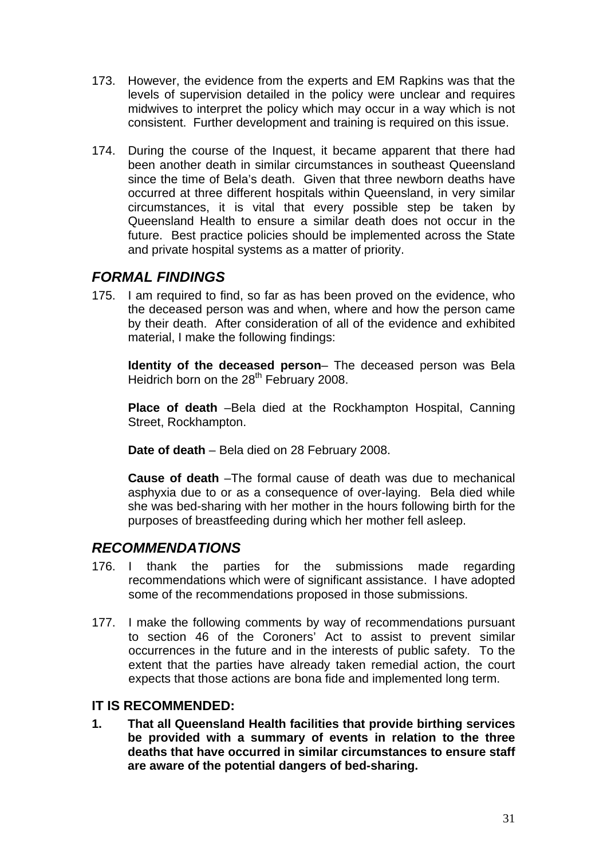- 173. However, the evidence from the experts and EM Rapkins was that the levels of supervision detailed in the policy were unclear and requires midwives to interpret the policy which may occur in a way which is not consistent. Further development and training is required on this issue.
- 174. During the course of the Inquest, it became apparent that there had been another death in similar circumstances in southeast Queensland since the time of Bela's death. Given that three newborn deaths have occurred at three different hospitals within Queensland, in very similar circumstances, it is vital that every possible step be taken by Queensland Health to ensure a similar death does not occur in the future. Best practice policies should be implemented across the State and private hospital systems as a matter of priority.

# *FORMAL FINDINGS*

175. I am required to find, so far as has been proved on the evidence, who the deceased person was and when, where and how the person came by their death. After consideration of all of the evidence and exhibited material, I make the following findings:

 **Identity of the deceased person**– The deceased person was Bela Heidrich born on the 28<sup>th</sup> February 2008.

 **Place of death** –Bela died at the Rockhampton Hospital, Canning Street, Rockhampton.

 **Date of death** – Bela died on 28 February 2008.

 **Cause of death** –The formal cause of death was due to mechanical asphyxia due to or as a consequence of over-laying. Bela died while she was bed-sharing with her mother in the hours following birth for the purposes of breastfeeding during which her mother fell asleep.

# *RECOMMENDATIONS*

- 176. I thank the parties for the submissions made regarding recommendations which were of significant assistance. I have adopted some of the recommendations proposed in those submissions.
- 177. I make the following comments by way of recommendations pursuant to section 46 of the Coroners' Act to assist to prevent similar occurrences in the future and in the interests of public safety. To the extent that the parties have already taken remedial action, the court expects that those actions are bona fide and implemented long term.

# **IT IS RECOMMENDED:**

**1. That all Queensland Health facilities that provide birthing services be provided with a summary of events in relation to the three deaths that have occurred in similar circumstances to ensure staff are aware of the potential dangers of bed-sharing.**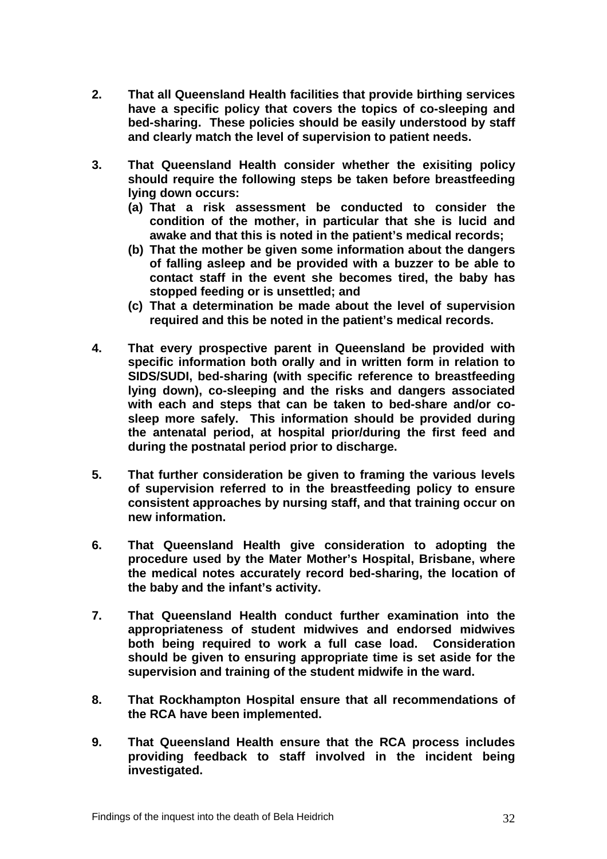- **2. That all Queensland Health facilities that provide birthing services have a specific policy that covers the topics of co-sleeping and bed-sharing. These policies should be easily understood by staff and clearly match the level of supervision to patient needs.**
- **3. That Queensland Health consider whether the exisiting policy should require the following steps be taken before breastfeeding lying down occurs:** 
	- **(a) That a risk assessment be conducted to consider the condition of the mother, in particular that she is lucid and awake and that this is noted in the patient's medical records;**
	- **(b) That the mother be given some information about the dangers of falling asleep and be provided with a buzzer to be able to contact staff in the event she becomes tired, the baby has stopped feeding or is unsettled; and**
	- **(c) That a determination be made about the level of supervision required and this be noted in the patient's medical records.**
- **4. That every prospective parent in Queensland be provided with specific information both orally and in written form in relation to SIDS/SUDI, bed-sharing (with specific reference to breastfeeding lying down), co-sleeping and the risks and dangers associated with each and steps that can be taken to bed-share and/or cosleep more safely. This information should be provided during the antenatal period, at hospital prior/during the first feed and during the postnatal period prior to discharge.**
- **5. That further consideration be given to framing the various levels of supervision referred to in the breastfeeding policy to ensure consistent approaches by nursing staff, and that training occur on new information.**
- **6. That Queensland Health give consideration to adopting the procedure used by the Mater Mother's Hospital, Brisbane, where the medical notes accurately record bed-sharing, the location of the baby and the infant's activity.**
- **7. That Queensland Health conduct further examination into the appropriateness of student midwives and endorsed midwives both being required to work a full case load. Consideration should be given to ensuring appropriate time is set aside for the supervision and training of the student midwife in the ward.**
- **8. That Rockhampton Hospital ensure that all recommendations of the RCA have been implemented.**
- **9. That Queensland Health ensure that the RCA process includes providing feedback to staff involved in the incident being investigated.**